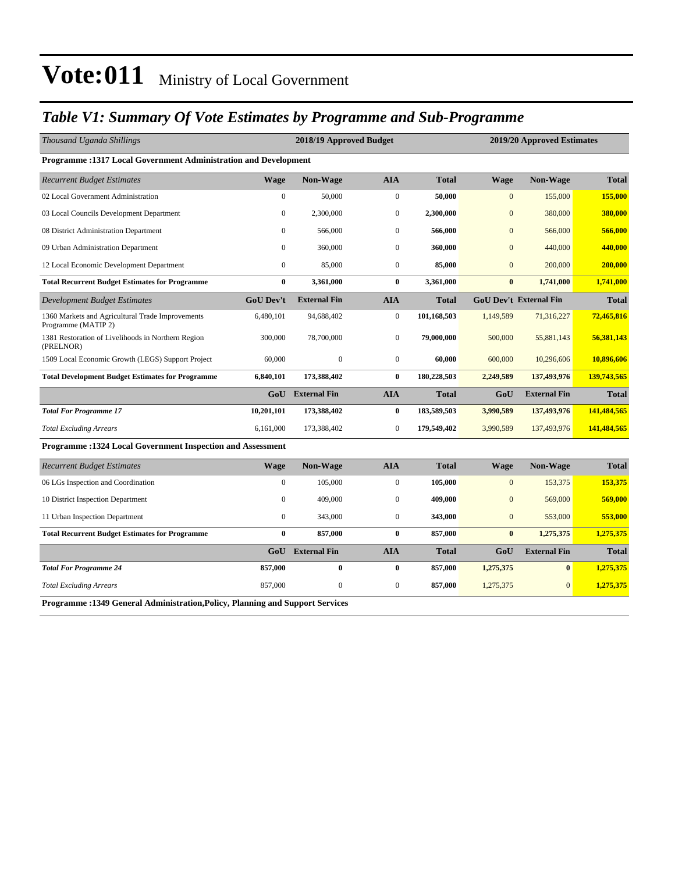#### *Table V1: Summary Of Vote Estimates by Programme and Sub-Programme*

| Thousand Uganda Shillings                                                      |                  | 2018/19 Approved Budget |                  |              |                | 2019/20 Approved Estimates    |              |
|--------------------------------------------------------------------------------|------------------|-------------------------|------------------|--------------|----------------|-------------------------------|--------------|
| Programme: 1317 Local Government Administration and Development                |                  |                         |                  |              |                |                               |              |
| <b>Recurrent Budget Estimates</b>                                              | <b>Wage</b>      | Non-Wage                | <b>AIA</b>       | <b>Total</b> | <b>Wage</b>    | Non-Wage                      | <b>Total</b> |
| 02 Local Government Administration                                             | $\mathbf{0}$     | 50,000                  | $\boldsymbol{0}$ | 50,000       | $\mathbf{0}$   | 155,000                       | 155,000      |
| 03 Local Councils Development Department                                       | $\mathbf{0}$     | 2,300,000               | $\mathbf{0}$     | 2,300,000    | $\overline{0}$ | 380,000                       | 380,000      |
| 08 District Administration Department                                          | $\Omega$         | 566,000                 | $\mathbf{0}$     | 566,000      | $\overline{0}$ | 566,000                       | 566,000      |
| 09 Urban Administration Department                                             | $\Omega$         | 360,000                 | $\mathbf{0}$     | 360,000      | $\overline{0}$ | 440,000                       | 440,000      |
| 12 Local Economic Development Department                                       | $\boldsymbol{0}$ | 85,000                  | $\boldsymbol{0}$ | 85,000       | $\mathbf{0}$   | 200,000                       | 200,000      |
| <b>Total Recurrent Budget Estimates for Programme</b>                          | $\bf{0}$         | 3,361,000               | $\bf{0}$         | 3,361,000    | $\bf{0}$       | 1,741,000                     | 1,741,000    |
| Development Budget Estimates                                                   | <b>GoU Dev't</b> | <b>External Fin</b>     | <b>AIA</b>       | <b>Total</b> |                | <b>GoU Dev't External Fin</b> | <b>Total</b> |
| 1360 Markets and Agricultural Trade Improvements<br>Programme (MATIP 2)        | 6,480,101        | 94,688,402              | $\boldsymbol{0}$ | 101,168,503  | 1,149,589      | 71,316,227                    | 72,465,816   |
| 1381 Restoration of Livelihoods in Northern Region<br>(PRELNOR)                | 300,000          | 78,700,000              | $\boldsymbol{0}$ | 79,000,000   | 500,000        | 55,881,143                    | 56,381,143   |
| 1509 Local Economic Growth (LEGS) Support Project                              | 60,000           | $\mathbf{0}$            | $\overline{0}$   | 60,000       | 600,000        | 10,296,606                    | 10,896,606   |
| <b>Total Development Budget Estimates for Programme</b>                        | 6,840,101        | 173,388,402             | $\bf{0}$         | 180,228,503  | 2,249,589      | 137,493,976                   | 139,743,565  |
|                                                                                | GoU              | <b>External Fin</b>     | <b>AIA</b>       | Total        | GoU            | <b>External Fin</b>           | <b>Total</b> |
| <b>Total For Programme 17</b>                                                  | 10,201,101       | 173,388,402             | $\bf{0}$         | 183,589,503  | 3,990,589      | 137,493,976                   | 141,484,565  |
| <b>Total Excluding Arrears</b>                                                 | 6,161,000        | 173,388,402             | $\mathbf{0}$     | 179,549,402  | 3,990,589      | 137,493,976                   | 141,484,565  |
| Programme : 1324 Local Government Inspection and Assessment                    |                  |                         |                  |              |                |                               |              |
| <b>Recurrent Budget Estimates</b>                                              | <b>Wage</b>      | Non-Wage                | <b>AIA</b>       | <b>Total</b> | <b>Wage</b>    | Non-Wage                      | <b>Total</b> |
| 06 LGs Inspection and Coordination                                             | $\mathbf{0}$     | 105,000                 | $\boldsymbol{0}$ | 105,000      | $\mathbf{0}$   | 153,375                       | 153,375      |
| 10 District Inspection Department                                              | $\mathbf{0}$     | 409,000                 | $\mathbf{0}$     | 409,000      | $\overline{0}$ | 569,000                       | 569,000      |
| 11 Urban Inspection Department                                                 | $\mathbf{0}$     | 343,000                 | $\overline{0}$   | 343,000      | $\mathbf{0}$   | 553,000                       | 553,000      |
| <b>Total Recurrent Budget Estimates for Programme</b>                          | $\bf{0}$         | 857,000                 | $\bf{0}$         | 857,000      | $\bf{0}$       | 1,275,375                     | 1,275,375    |
|                                                                                | GoU              | <b>External Fin</b>     | <b>AIA</b>       | <b>Total</b> | GoU            | <b>External Fin</b>           | <b>Total</b> |
| <b>Total For Programme 24</b>                                                  | 857,000          | $\bf{0}$                | $\bf{0}$         | 857,000      | 1,275,375      | $\bf{0}$                      | 1,275,375    |
| <b>Total Excluding Arrears</b>                                                 | 857,000          | $\boldsymbol{0}$        | $\boldsymbol{0}$ | 857,000      | 1,275,375      | $\mathbf{0}$                  | 1,275,375    |
| Programme : 1349 General Administration, Policy, Planning and Support Services |                  |                         |                  |              |                |                               |              |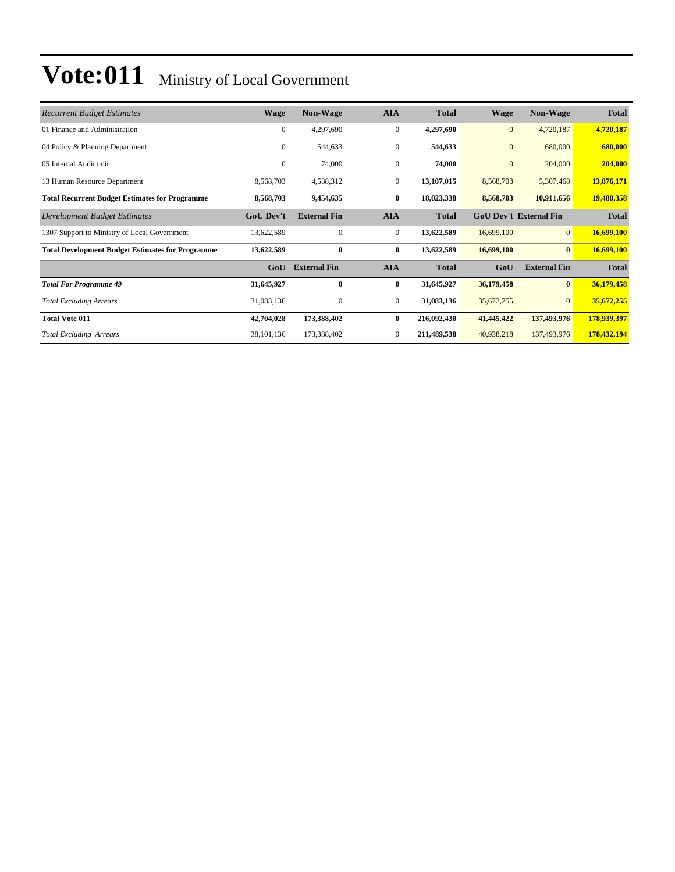| <b>Recurrent Budget Estimates</b>                       | <b>Wage</b>      | <b>Non-Wage</b>     | <b>AIA</b>       | <b>Total</b> | Wage         | <b>Non-Wage</b>               | <b>Total</b> |
|---------------------------------------------------------|------------------|---------------------|------------------|--------------|--------------|-------------------------------|--------------|
| 01 Finance and Administration                           | $\mathbf{0}$     | 4,297,690           | $\mathbf{0}$     | 4,297,690    | $\mathbf{0}$ | 4,720,187                     | 4,720,187    |
| 04 Policy & Planning Department                         | $\mathbf{0}$     | 544,633             | $\boldsymbol{0}$ | 544,633      | $\mathbf{0}$ | 680,000                       | 680,000      |
| 05 Internal Audit unit                                  | $\mathbf{0}$     | 74,000              | $\mathbf{0}$     | 74,000       | $\mathbf{0}$ | 204,000                       | 204,000      |
| 13 Human Resource Department                            | 8,568,703        | 4,538,312           | $\mathbf{0}$     | 13,107,015   | 8,568,703    | 5,307,468                     | 13,876,171   |
| <b>Total Recurrent Budget Estimates for Programme</b>   | 8,568,703        | 9,454,635           | $\bf{0}$         | 18,023,338   | 8,568,703    | 10,911,656                    | 19,480,358   |
| Development Budget Estimates                            | <b>GoU Dev't</b> | <b>External Fin</b> | <b>AIA</b>       | <b>Total</b> |              | <b>GoU Dev't External Fin</b> | <b>Total</b> |
| 1307 Support to Ministry of Local Government            | 13,622,589       | $\mathbf{0}$        | $\mathbf{0}$     | 13,622,589   | 16,699,100   | $\overline{0}$                | 16,699,100   |
| <b>Total Development Budget Estimates for Programme</b> | 13,622,589       | $\bf{0}$            | $\bf{0}$         | 13,622,589   | 16,699,100   | $\bf{0}$                      | 16,699,100   |
|                                                         | GoU              | <b>External Fin</b> | <b>AIA</b>       | <b>Total</b> | GoU          | <b>External Fin</b>           | <b>Total</b> |
| <b>Total For Programme 49</b>                           | 31,645,927       | $\bf{0}$            | $\bf{0}$         | 31,645,927   | 36,179,458   | $\mathbf{0}$                  | 36,179,458   |
| <b>Total Excluding Arrears</b>                          | 31,083,136       | $\mathbf{0}$        | $\mathbf{0}$     | 31,083,136   | 35,672,255   | $\overline{0}$                | 35,672,255   |
| <b>Total Vote 011</b>                                   | 42,704,028       | 173,388,402         | $\bf{0}$         | 216,092,430  | 41,445,422   | 137,493,976                   | 178,939,397  |
| <b>Total Excluding Arrears</b>                          | 38,101,136       | 173,388,402         | $\mathbf{0}$     | 211,489,538  | 40,938,218   | 137,493,976                   | 178,432,194  |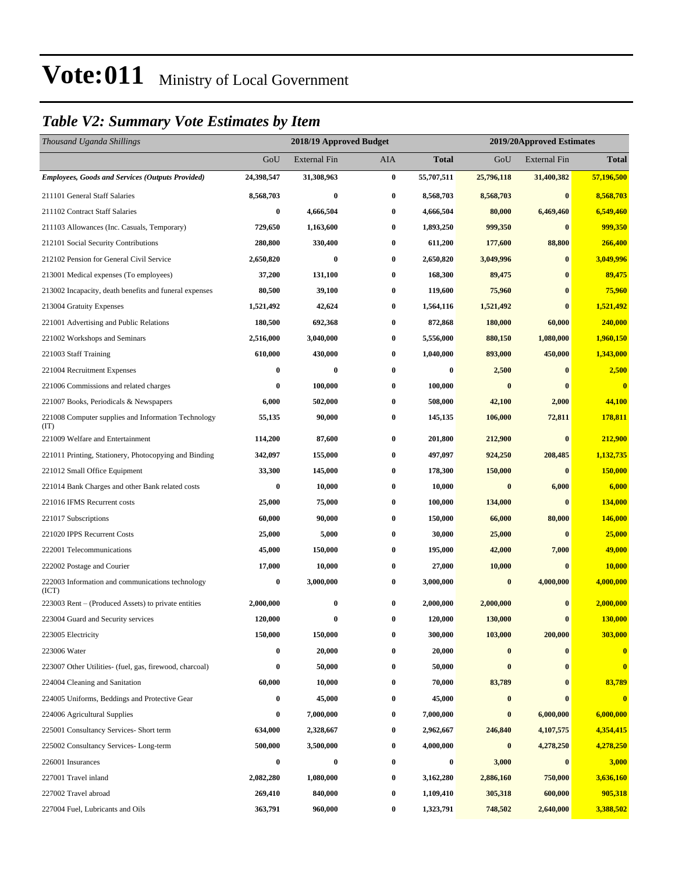#### *Table V2: Summary Vote Estimates by Item*

| Thousand Uganda Shillings                                   |                  | 2018/19 Approved Budget |          |                  | 2019/20Approved Estimates |                     |                         |
|-------------------------------------------------------------|------------------|-------------------------|----------|------------------|---------------------------|---------------------|-------------------------|
|                                                             | GoU              | <b>External Fin</b>     | AIA      | <b>Total</b>     | GoU                       | <b>External Fin</b> | <b>Total</b>            |
| <b>Employees, Goods and Services (Outputs Provided)</b>     | 24,398,547       | 31,308,963              | $\bf{0}$ | 55,707,511       | 25,796,118                | 31,400,382          | 57,196,500              |
| 211101 General Staff Salaries                               | 8,568,703        | $\bf{0}$                | $\bf{0}$ | 8,568,703        | 8,568,703                 | $\bf{0}$            | 8,568,703               |
| 211102 Contract Staff Salaries                              | $\bf{0}$         | 4,666,504               | $\bf{0}$ | 4,666,504        | 80,000                    | 6,469,460           | 6,549,460               |
| 211103 Allowances (Inc. Casuals, Temporary)                 | 729,650          | 1,163,600               | $\bf{0}$ | 1,893,250        | 999,350                   | $\bf{0}$            | 999,350                 |
| 212101 Social Security Contributions                        | 280,800          | 330,400                 | $\bf{0}$ | 611,200          | 177,600                   | 88,800              | 266,400                 |
| 212102 Pension for General Civil Service                    | 2,650,820        | $\bf{0}$                | $\bf{0}$ | 2,650,820        | 3,049,996                 | $\bf{0}$            | 3.049.996               |
| 213001 Medical expenses (To employees)                      | 37,200           | 131,100                 | $\bf{0}$ | 168,300          | 89,475                    | $\bf{0}$            | 89,475                  |
| 213002 Incapacity, death benefits and funeral expenses      | 80,500           | 39,100                  | $\bf{0}$ | 119,600          | 75,960                    | $\bf{0}$            | 75,960                  |
| 213004 Gratuity Expenses                                    | 1,521,492        | 42,624                  | $\bf{0}$ | 1,564,116        | 1,521,492                 | $\bf{0}$            | 1,521,492               |
| 221001 Advertising and Public Relations                     | 180,500          | 692,368                 | $\bf{0}$ | 872,868          | 180,000                   | 60,000              | 240,000                 |
| 221002 Workshops and Seminars                               | 2,516,000        | 3,040,000               | $\bf{0}$ | 5,556,000        | 880,150                   | 1,080,000           | 1,960,150               |
| 221003 Staff Training                                       | 610,000          | 430,000                 | $\bf{0}$ | 1,040,000        | 893,000                   | 450,000             | 1,343,000               |
| 221004 Recruitment Expenses                                 | 0                | 0                       | $\bf{0}$ | $\boldsymbol{0}$ | 2,500                     | $\bf{0}$            | 2,500                   |
| 221006 Commissions and related charges                      | 0                | 100,000                 | $\bf{0}$ | 100,000          | $\bf{0}$                  | $\bf{0}$            | $\overline{\mathbf{0}}$ |
| 221007 Books, Periodicals & Newspapers                      | 6,000            | 502,000                 | $\bf{0}$ | 508,000          | 42,100                    | 2,000               | 44,100                  |
| 221008 Computer supplies and Information Technology<br>(TT) | 55,135           | 90,000                  | $\bf{0}$ | 145,135          | 106,000                   | 72,811              | 178,811                 |
| 221009 Welfare and Entertainment                            | 114,200          | 87,600                  | $\bf{0}$ | 201,800          | 212,900                   | $\bf{0}$            | 212,900                 |
| 221011 Printing, Stationery, Photocopying and Binding       | 342,097          | 155,000                 | $\bf{0}$ | 497,097          | 924,250                   | 208,485             | 1,132,735               |
| 221012 Small Office Equipment                               | 33,300           | 145,000                 | $\bf{0}$ | 178,300          | 150,000                   | $\bf{0}$            | 150,000                 |
| 221014 Bank Charges and other Bank related costs            | 0                | 10,000                  | 0        | 10,000           | $\bf{0}$                  | 6,000               | 6,000                   |
| 221016 IFMS Recurrent costs                                 | 25,000           | 75,000                  | $\bf{0}$ | 100,000          | 134,000                   | $\bf{0}$            | 134,000                 |
| 221017 Subscriptions                                        | 60,000           | 90,000                  | $\bf{0}$ | 150,000          | 66,000                    | 80,000              | 146,000                 |
| 221020 IPPS Recurrent Costs                                 | 25,000           | 5,000                   | $\bf{0}$ | 30,000           | 25,000                    | $\bf{0}$            | 25,000                  |
| 222001 Telecommunications                                   | 45,000           | 150,000                 | $\bf{0}$ | 195,000          | 42,000                    | 7,000               | 49,000                  |
| 222002 Postage and Courier                                  | 17,000           | 10,000                  | 0        | 27,000           | 10,000                    | $\bf{0}$            | 10,000                  |
| 222003 Information and communications technology<br>(ICT)   | $\boldsymbol{0}$ | 3,000,000               | $\bf{0}$ | 3,000,000        | $\bf{0}$                  | 4,000,000           | 4,000,000               |
| 223003 Rent – (Produced Assets) to private entities         | 2,000,000        | 0                       | $\bf{0}$ | 2,000,000        | 2,000,000                 | $\bf{0}$            | 2,000,000               |
| 223004 Guard and Security services                          | 120,000          | $\bf{0}$                | $\bf{0}$ | 120,000          | 130,000                   | $\bf{0}$            | 130,000                 |
| 223005 Electricity                                          | 150,000          | 150,000                 | $\bf{0}$ | 300,000          | 103,000                   | 200,000             | 303,000                 |
| 223006 Water                                                | 0                | 20,000                  | $\bf{0}$ | 20,000           | $\bf{0}$                  | $\mathbf{0}$        | $\bf{0}$                |
| 223007 Other Utilities- (fuel, gas, firewood, charcoal)     | 0                | 50,000                  | $\bf{0}$ | 50,000           | $\bf{0}$                  | $\bf{0}$            | $\overline{\mathbf{0}}$ |
| 224004 Cleaning and Sanitation                              | 60,000           | 10,000                  | $\bf{0}$ | 70,000           | 83,789                    | $\bf{0}$            | 83,789                  |
| 224005 Uniforms, Beddings and Protective Gear               | 0                | 45,000                  | 0        | 45,000           | $\boldsymbol{0}$          | $\bf{0}$            | $\bf{0}$                |
| 224006 Agricultural Supplies                                | 0                | 7,000,000               | $\bf{0}$ | 7,000,000        | $\bf{0}$                  | 6,000,000           | 6,000,000               |
| 225001 Consultancy Services- Short term                     | 634,000          | 2,328,667               | $\bf{0}$ | 2,962,667        | 246,840                   | 4,107,575           | 4,354,415               |
| 225002 Consultancy Services-Long-term                       | 500,000          | 3,500,000               | $\bf{0}$ | 4,000,000        | $\bf{0}$                  | 4,278,250           | 4,278,250               |
| 226001 Insurances                                           | 0                | $\bf{0}$                | $\bf{0}$ | $\boldsymbol{0}$ | 3,000                     | $\bf{0}$            | 3,000                   |
| 227001 Travel inland                                        | 2,082,280        | 1,080,000               | $\bf{0}$ | 3,162,280        | 2,886,160                 | 750,000             | 3,636,160               |
| 227002 Travel abroad                                        | 269,410          | 840,000                 | $\bf{0}$ | 1,109,410        | 305,318                   | 600,000             | 905,318                 |
| 227004 Fuel, Lubricants and Oils                            | 363,791          | 960,000                 | $\bf{0}$ | 1,323,791        | 748,502                   | 2,640,000           | 3,388,502               |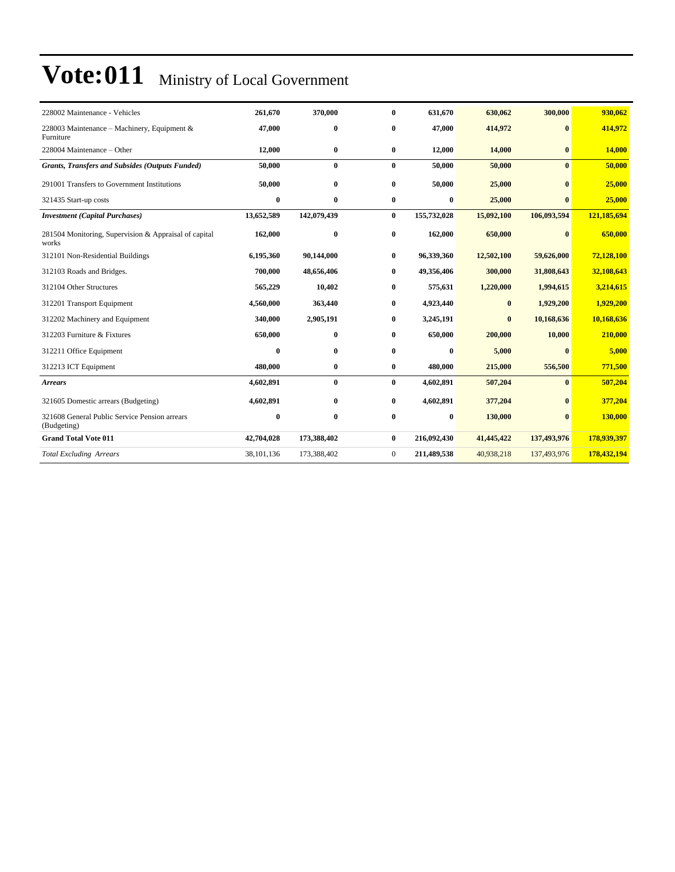| 228002 Maintenance - Vehicles                                  | 261,670    | 370,000     | $\bf{0}$       | 631,670     | 630,062    | 300,000      | 930,062     |
|----------------------------------------------------------------|------------|-------------|----------------|-------------|------------|--------------|-------------|
| 228003 Maintenance - Machinery, Equipment &<br>Furniture       | 47,000     | $\bf{0}$    | $\bf{0}$       | 47,000      | 414,972    | $\bf{0}$     | 414,972     |
| 228004 Maintenance – Other                                     | 12,000     | $\bf{0}$    | $\bf{0}$       | 12,000      | 14,000     | $\bf{0}$     | 14,000      |
| <b>Grants, Transfers and Subsides (Outputs Funded)</b>         | 50,000     | $\bf{0}$    | $\mathbf{0}$   | 50,000      | 50,000     | $\mathbf{0}$ | 50,000      |
| 291001 Transfers to Government Institutions                    | 50,000     | $\bf{0}$    | $\bf{0}$       | 50,000      | 25,000     | $\mathbf{0}$ | 25,000      |
| 321435 Start-up costs                                          | $\bf{0}$   | $\bf{0}$    | $\bf{0}$       | $\bf{0}$    | 25,000     | $\mathbf{0}$ | 25,000      |
| <b>Investment</b> (Capital Purchases)                          | 13,652,589 | 142,079,439 | $\bf{0}$       | 155,732,028 | 15,092,100 | 106,093,594  | 121,185,694 |
| 281504 Monitoring, Supervision & Appraisal of capital<br>works | 162,000    | $\bf{0}$    | $\bf{0}$       | 162,000     | 650,000    | $\mathbf{0}$ | 650,000     |
| 312101 Non-Residential Buildings                               | 6,195,360  | 90,144,000  | $\bf{0}$       | 96,339,360  | 12,502,100 | 59,626,000   | 72,128,100  |
| 312103 Roads and Bridges.                                      | 700,000    | 48,656,406  | $\bf{0}$       | 49,356,406  | 300,000    | 31,808,643   | 32,108,643  |
| 312104 Other Structures                                        | 565,229    | 10,402      | $\bf{0}$       | 575,631     | 1,220,000  | 1,994,615    | 3,214,615   |
| 312201 Transport Equipment                                     | 4,560,000  | 363,440     | 0              | 4,923,440   | $\bf{0}$   | 1,929,200    | 1,929,200   |
| 312202 Machinery and Equipment                                 | 340,000    | 2,905,191   | 0              | 3,245,191   | $\bf{0}$   | 10,168,636   | 10,168,636  |
| 312203 Furniture & Fixtures                                    | 650,000    | $\bf{0}$    | 0              | 650,000     | 200,000    | 10,000       | 210,000     |
| 312211 Office Equipment                                        | $\bf{0}$   | $\bf{0}$    | $\bf{0}$       | 0           | 5,000      | $\mathbf{0}$ | 5,000       |
| 312213 ICT Equipment                                           | 480,000    | $\bf{0}$    | $\bf{0}$       | 480,000     | 215,000    | 556,500      | 771,500     |
| <b>Arrears</b>                                                 | 4,602,891  | $\bf{0}$    | $\bf{0}$       | 4,602,891   | 507,204    | $\mathbf{0}$ | 507,204     |
| 321605 Domestic arrears (Budgeting)                            | 4,602,891  | $\bf{0}$    | $\bf{0}$       | 4,602,891   | 377,204    | $\bf{0}$     | 377,204     |
| 321608 General Public Service Pension arrears<br>(Budgeting)   | $\bf{0}$   | $\bf{0}$    | $\mathbf{0}$   | $\bf{0}$    | 130,000    | $\mathbf{0}$ | 130,000     |
| <b>Grand Total Vote 011</b>                                    | 42,704,028 | 173,388,402 | $\bf{0}$       | 216,092,430 | 41,445,422 | 137,493,976  | 178,939,397 |
| <b>Total Excluding Arrears</b>                                 | 38,101,136 | 173,388,402 | $\overline{0}$ | 211,489,538 | 40,938,218 | 137,493,976  | 178,432,194 |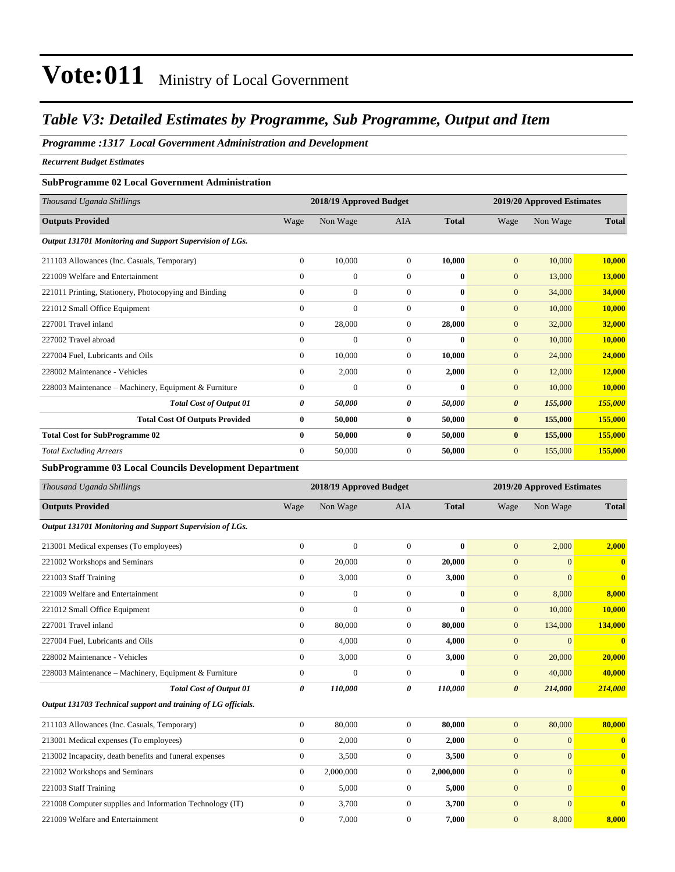#### *Table V3: Detailed Estimates by Programme, Sub Programme, Output and Item*

#### *Programme :1317 Local Government Administration and Development*

*Recurrent Budget Estimates*

#### **SubProgramme 02 Local Government Administration**

| Thousand Uganda Shillings                                    |                | 2018/19 Approved Budget |                |              |                       | 2019/20 Approved Estimates |               |
|--------------------------------------------------------------|----------------|-------------------------|----------------|--------------|-----------------------|----------------------------|---------------|
| <b>Outputs Provided</b>                                      | Wage           | Non Wage                | <b>AIA</b>     | <b>Total</b> | Wage                  | Non Wage                   | <b>Total</b>  |
| Output 131701 Monitoring and Support Supervision of LGs.     |                |                         |                |              |                       |                            |               |
| 211103 Allowances (Inc. Casuals, Temporary)                  | $\overline{0}$ | 10,000                  | $\overline{0}$ | 10,000       | $\overline{0}$        | 10,000                     | 10,000        |
| 221009 Welfare and Entertainment                             | $\Omega$       | $\mathbf{0}$            | $\Omega$       | $\mathbf{0}$ | $\mathbf{0}$          | 13,000                     | <b>13,000</b> |
| 221011 Printing, Stationery, Photocopying and Binding        | $\overline{0}$ | $\mathbf{0}$            | $\mathbf{0}$   | $\mathbf{0}$ | $\mathbf{0}$          | 34,000                     | 34,000        |
| 221012 Small Office Equipment                                | $\overline{0}$ | $\mathbf{0}$            | $\mathbf{0}$   | $\mathbf{0}$ | $\mathbf{0}$          | 10,000                     | 10,000        |
| 227001 Travel inland                                         | $\overline{0}$ | 28,000                  | $\mathbf{0}$   | 28,000       | $\overline{0}$        | 32,000                     | 32,000        |
| 227002 Travel abroad                                         | $\Omega$       | $\overline{0}$          | $\mathbf{0}$   | $\mathbf{0}$ | $\mathbf{0}$          | 10,000                     | 10,000        |
| 227004 Fuel, Lubricants and Oils                             | $\overline{0}$ | 10,000                  | $\mathbf{0}$   | 10.000       | $\mathbf{0}$          | 24,000                     | 24,000        |
| 228002 Maintenance - Vehicles                                | $\overline{0}$ | 2,000                   | $\overline{0}$ | 2,000        | $\mathbf{0}$          | 12,000                     | 12,000        |
| 228003 Maintenance - Machinery, Equipment & Furniture        | $\overline{0}$ | $\mathbf{0}$            | $\mathbf{0}$   | $\mathbf{0}$ | $\mathbf{0}$          | 10,000                     | 10,000        |
| <b>Total Cost of Output 01</b>                               | 0              | 50,000                  | 0              | 50,000       | $\boldsymbol{\theta}$ | 155,000                    | 155,000       |
| <b>Total Cost Of Outputs Provided</b>                        | $\bf{0}$       | 50,000                  | $\bf{0}$       | 50,000       | $\bf{0}$              | 155,000                    | 155,000       |
| <b>Total Cost for SubProgramme 02</b>                        | $\mathbf{0}$   | 50,000                  | $\bf{0}$       | 50,000       | $\bf{0}$              | 155,000                    | 155,000       |
| <b>Total Excluding Arrears</b>                               | $\Omega$       | 50,000                  | $\mathbf{0}$   | 50,000       | $\overline{0}$        | 155,000                    | 155,000       |
| <b>SubProgramme 03 Local Councils Development Department</b> |                |                         |                |              |                       |                            |               |
| Thousand Uganda Shillings                                    |                | 2018/19 Approved Budget |                |              |                       | 2019/20 Approved Estimates |               |

| Wage           | Non Wage       | <b>AIA</b>     | <b>Total</b> | Wage                  | Non Wage                                                                                                                                                 | <b>Total</b>            |
|----------------|----------------|----------------|--------------|-----------------------|----------------------------------------------------------------------------------------------------------------------------------------------------------|-------------------------|
|                |                |                |              |                       |                                                                                                                                                          |                         |
| $\Omega$       | $\Omega$       | $\overline{0}$ |              | $\overline{0}$        | 2,000                                                                                                                                                    | 2,000                   |
| $\Omega$       | 20,000         | $\overline{0}$ |              | $\overline{0}$        | $\overline{0}$                                                                                                                                           | 0                       |
| $\Omega$       | 3,000          | $\overline{0}$ |              | $\overline{0}$        | $\mathbf{0}$                                                                                                                                             | $\overline{\mathbf{0}}$ |
| $\Omega$       | $\mathbf{0}$   | $\mathbf{0}$   |              | $\overline{0}$        | 8,000                                                                                                                                                    | 8,000                   |
| $\Omega$       | $\overline{0}$ | $\mathbf{0}$   |              | $\overline{0}$        | 10,000                                                                                                                                                   | 10,000                  |
| $\overline{0}$ | 80,000         | $\overline{0}$ |              | $\overline{0}$        | 134,000                                                                                                                                                  | 134,000                 |
| $\Omega$       | 4,000          | $\overline{0}$ |              | $\overline{0}$        | $\mathbf{0}$                                                                                                                                             | $\mathbf 0$             |
| $\Omega$       | 3,000          | $\overline{0}$ |              | $\overline{0}$        | 20,000                                                                                                                                                   | 20,000                  |
| $\mathbf{0}$   | $\theta$       | $\overline{0}$ |              | $\overline{0}$        | 40,000                                                                                                                                                   | 40,000                  |
| 0              | 110,000        | 0              |              | $\boldsymbol{\theta}$ | 214,000                                                                                                                                                  | 214,000                 |
|                |                |                |              |                       |                                                                                                                                                          |                         |
| $\Omega$       | 80,000         | $\overline{0}$ |              | $\overline{0}$        | 80,000                                                                                                                                                   | 80,000                  |
| $\overline{0}$ | 2,000          | $\overline{0}$ |              | $\overline{0}$        | $\mathbf{0}$                                                                                                                                             | 0                       |
| $\overline{0}$ | 3,500          | $\overline{0}$ |              | $\overline{0}$        | $\overline{0}$                                                                                                                                           | $\mathbf 0$             |
| $\overline{0}$ | 2,000,000      | $\overline{0}$ |              | $\overline{0}$        | $\overline{0}$                                                                                                                                           | $\mathbf{0}$            |
| $\mathbf{0}$   | 5,000          | $\mathbf{0}$   |              | $\overline{0}$        | $\mathbf{0}$                                                                                                                                             | 0                       |
|                |                |                |              |                       | $\bf{0}$<br>20,000<br>3,000<br>$\bf{0}$<br>$\bf{0}$<br>80,000<br>4,000<br>3,000<br>$\bf{0}$<br>110,000<br>80,000<br>2,000<br>3,500<br>2,000,000<br>5,000 |                         |

221008 Computer supplies and Information Technology (IT) 0 3,700 0 **3,700** 0 0 **0** 221009 Welfare and Entertainment 0 7,000 0 **7,000** 0 8,000 **8,000**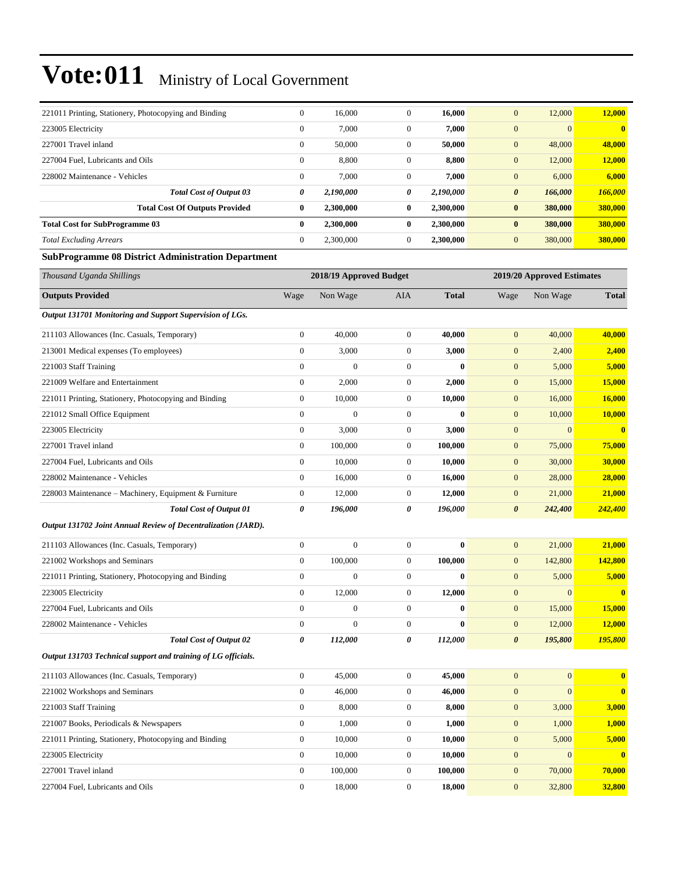| 221011 Printing, Stationery, Photocopying and Binding         | $\bf{0}$         | 16,000                  | $\boldsymbol{0}$ | 16,000       | $\mathbf{0}$          | 12,000                     | 12,000       |
|---------------------------------------------------------------|------------------|-------------------------|------------------|--------------|-----------------------|----------------------------|--------------|
| 223005 Electricity                                            | $\mathbf{0}$     | 7,000                   | $\mathbf{0}$     | 7,000        | $\overline{0}$        | $\mathbf{0}$               | $\bf{0}$     |
| 227001 Travel inland                                          | $\mathbf{0}$     | 50,000                  | $\mathbf{0}$     | 50,000       | $\boldsymbol{0}$      | 48,000                     | 48,000       |
| 227004 Fuel, Lubricants and Oils                              | $\boldsymbol{0}$ | 8,800                   | $\mathbf{0}$     | 8,800        | $\mathbf{0}$          | 12,000                     | 12,000       |
| 228002 Maintenance - Vehicles                                 | $\boldsymbol{0}$ | 7,000                   | $\boldsymbol{0}$ | 7,000        | $\boldsymbol{0}$      | 6,000                      | 6,000        |
| <b>Total Cost of Output 03</b>                                | 0                | 2,190,000               | 0                | 2,190,000    | 0                     | 166,000                    | 166,000      |
| <b>Total Cost Of Outputs Provided</b>                         | $\bf{0}$         | 2,300,000               | $\bf{0}$         | 2,300,000    | $\bf{0}$              | 380,000                    | 380,000      |
| <b>Total Cost for SubProgramme 03</b>                         | $\bf{0}$         | 2,300,000               | $\bf{0}$         | 2,300,000    | $\bf{0}$              | 380,000                    | 380,000      |
| <b>Total Excluding Arrears</b>                                | $\boldsymbol{0}$ | 2,300,000               | $\mathbf{0}$     | 2,300,000    | $\mathbf{0}$          | 380,000                    | 380,000      |
| <b>SubProgramme 08 District Administration Department</b>     |                  |                         |                  |              |                       |                            |              |
| Thousand Uganda Shillings                                     |                  | 2018/19 Approved Budget |                  |              |                       | 2019/20 Approved Estimates |              |
| <b>Outputs Provided</b>                                       | Wage             | Non Wage                | AIA              | <b>Total</b> | Wage                  | Non Wage                   | <b>Total</b> |
| Output 131701 Monitoring and Support Supervision of LGs.      |                  |                         |                  |              |                       |                            |              |
| 211103 Allowances (Inc. Casuals, Temporary)                   | $\boldsymbol{0}$ | 40,000                  | $\boldsymbol{0}$ | 40,000       | $\boldsymbol{0}$      | 40,000                     | 40,000       |
| 213001 Medical expenses (To employees)                        | $\boldsymbol{0}$ | 3,000                   | $\boldsymbol{0}$ | 3,000        | $\mathbf{0}$          | 2,400                      | 2,400        |
| 221003 Staff Training                                         | $\overline{0}$   | $\mathbf{0}$            | $\mathbf{0}$     | $\bf{0}$     | $\boldsymbol{0}$      | 5,000                      | 5,000        |
| 221009 Welfare and Entertainment                              | $\mathbf{0}$     | 2,000                   | $\mathbf{0}$     | 2,000        | $\mathbf{0}$          | 15,000                     | 15,000       |
| 221011 Printing, Stationery, Photocopying and Binding         | $\boldsymbol{0}$ | 10,000                  | $\mathbf{0}$     | 10,000       | $\mathbf{0}$          | 16,000                     | 16,000       |
| 221012 Small Office Equipment                                 | $\boldsymbol{0}$ | $\boldsymbol{0}$        | $\boldsymbol{0}$ | $\bf{0}$     | $\mathbf{0}$          | 10,000                     | 10,000       |
| 223005 Electricity                                            | $\boldsymbol{0}$ | 3,000                   | $\boldsymbol{0}$ | 3,000        | $\mathbf{0}$          | $\mathbf{0}$               | $\bf{0}$     |
| 227001 Travel inland                                          | $\boldsymbol{0}$ | 100,000                 | $\boldsymbol{0}$ | 100,000      | $\boldsymbol{0}$      | 75,000                     | 75,000       |
| 227004 Fuel, Lubricants and Oils                              | $\mathbf{0}$     | 10,000                  | $\mathbf{0}$     | 10,000       | $\mathbf{0}$          | 30,000                     | 30,000       |
| 228002 Maintenance - Vehicles                                 | $\boldsymbol{0}$ | 16,000                  | $\mathbf{0}$     | 16,000       | $\mathbf{0}$          | 28,000                     | 28,000       |
| 228003 Maintenance – Machinery, Equipment & Furniture         | $\boldsymbol{0}$ | 12,000                  | $\boldsymbol{0}$ | 12,000       | $\boldsymbol{0}$      | 21,000                     | 21,000       |
| <b>Total Cost of Output 01</b>                                | 0                | 196,000                 | 0                | 196,000      | $\boldsymbol{\theta}$ | 242,400                    | 242,400      |
| Output 131702 Joint Annual Review of Decentralization (JARD). |                  |                         |                  |              |                       |                            |              |
| 211103 Allowances (Inc. Casuals, Temporary)                   | $\boldsymbol{0}$ | $\mathbf{0}$            | $\boldsymbol{0}$ | $\bf{0}$     | $\boldsymbol{0}$      | 21,000                     | 21,000       |
| 221002 Workshops and Seminars                                 | $\boldsymbol{0}$ | 100,000                 | $\mathbf{0}$     | 100,000      | $\mathbf{0}$          | 142,800                    | 142,800      |
| 221011 Printing, Stationery, Photocopying and Binding         | $\boldsymbol{0}$ | $\boldsymbol{0}$        | $\mathbf{0}$     | $\bf{0}$     | $\mathbf{0}$          | 5,000                      | 5,000        |
| 223005 Electricity                                            | $\boldsymbol{0}$ | 12,000                  | $\boldsymbol{0}$ | 12,000       | $\mathbf{0}$          | $\mathbf{0}$               | $\bf{0}$     |
| 227004 Fuel, Lubricants and Oils                              | $\mathbf{0}$     | $\mathbf{0}$            | $\mathbf{0}$     | $\bf{0}$     | $\boldsymbol{0}$      | 15,000                     | 15,000       |
| 228002 Maintenance - Vehicles                                 | $\boldsymbol{0}$ | $\boldsymbol{0}$        | $\boldsymbol{0}$ | $\bf{0}$     | $\boldsymbol{0}$      | 12,000                     | 12,000       |
| <b>Total Cost of Output 02</b>                                | 0                | 112,000                 | 0                | 112,000      | $\boldsymbol{\theta}$ | 195,800                    | 195,800      |
| Output 131703 Technical support and training of LG officials. |                  |                         |                  |              |                       |                            |              |
| 211103 Allowances (Inc. Casuals, Temporary)                   | $\boldsymbol{0}$ | 45,000                  | $\boldsymbol{0}$ | 45,000       | $\mathbf{0}$          | $\mathbf{0}$               | $\bf{0}$     |
| 221002 Workshops and Seminars                                 | $\boldsymbol{0}$ | 46,000                  | $\boldsymbol{0}$ | 46,000       | $\mathbf{0}$          | $\mathbf{0}$               | $\bf{0}$     |
| 221003 Staff Training                                         | $\boldsymbol{0}$ | 8,000                   | $\boldsymbol{0}$ | 8,000        | $\mathbf{0}$          | 3,000                      | 3,000        |
| 221007 Books, Periodicals & Newspapers                        | $\boldsymbol{0}$ | 1,000                   | $\boldsymbol{0}$ | 1,000        | $\boldsymbol{0}$      | 1,000                      | <b>1,000</b> |
| 221011 Printing, Stationery, Photocopying and Binding         | $\boldsymbol{0}$ | 10,000                  | $\boldsymbol{0}$ | 10,000       | $\mathbf{0}$          | 5,000                      | 5,000        |
| 223005 Electricity                                            | $\boldsymbol{0}$ | 10,000                  | $\boldsymbol{0}$ | 10,000       | $\boldsymbol{0}$      | $\mathbf{0}$               | $\bf{0}$     |
| 227001 Travel inland                                          | $\boldsymbol{0}$ | 100,000                 | $\boldsymbol{0}$ | 100,000      | $\bf{0}$              | 70,000                     | 70,000       |
| 227004 Fuel, Lubricants and Oils                              | $\mathbf{0}$     | 18,000                  | $\boldsymbol{0}$ | 18,000       | $\mathbf{0}$          | 32,800                     | 32,800       |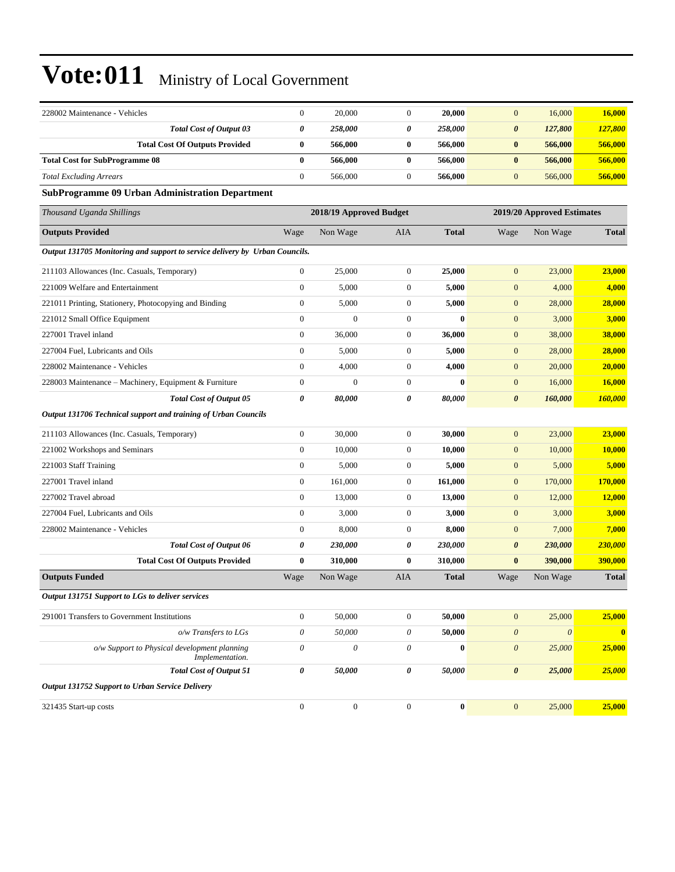| 228002 Maintenance - Vehicles                                               | $\boldsymbol{0}$          | 20,000                  | $\boldsymbol{0}$ | 20,000       | $\mathbf{0}$          | 16,000                     | 16,000        |
|-----------------------------------------------------------------------------|---------------------------|-------------------------|------------------|--------------|-----------------------|----------------------------|---------------|
| <b>Total Cost of Output 03</b>                                              | 0                         | 258,000                 | 0                | 258,000      | $\boldsymbol{\theta}$ | 127,800                    | 127,800       |
| <b>Total Cost Of Outputs Provided</b>                                       | $\bf{0}$                  | 566,000                 | $\bf{0}$         | 566,000      | $\bf{0}$              | 566,000                    | 566,000       |
| <b>Total Cost for SubProgramme 08</b>                                       | $\bf{0}$                  | 566,000                 | 0                | 566,000      | $\bf{0}$              | 566,000                    | 566,000       |
| <b>Total Excluding Arrears</b>                                              | $\mathbf{0}$              | 566,000                 | $\mathbf{0}$     | 566,000      | $\mathbf{0}$          | 566,000                    | 566,000       |
| <b>SubProgramme 09 Urban Administration Department</b>                      |                           |                         |                  |              |                       |                            |               |
| Thousand Uganda Shillings                                                   |                           | 2018/19 Approved Budget |                  |              |                       | 2019/20 Approved Estimates |               |
| <b>Outputs Provided</b>                                                     | Wage                      | Non Wage                | <b>AIA</b>       | <b>Total</b> | Wage                  | Non Wage                   | <b>Total</b>  |
| Output 131705 Monitoring and support to service delivery by Urban Councils. |                           |                         |                  |              |                       |                            |               |
| 211103 Allowances (Inc. Casuals, Temporary)                                 | $\boldsymbol{0}$          | 25,000                  | $\mathbf{0}$     | 25,000       | $\mathbf{0}$          | 23,000                     | 23,000        |
| 221009 Welfare and Entertainment                                            | $\boldsymbol{0}$          | 5,000                   | $\boldsymbol{0}$ | 5,000        | $\boldsymbol{0}$      | 4,000                      | 4,000         |
| 221011 Printing, Stationery, Photocopying and Binding                       | $\boldsymbol{0}$          | 5,000                   | $\boldsymbol{0}$ | 5,000        | $\boldsymbol{0}$      | 28,000                     | 28,000        |
| 221012 Small Office Equipment                                               | $\boldsymbol{0}$          | $\overline{0}$          | $\boldsymbol{0}$ | $\bf{0}$     | $\boldsymbol{0}$      | 3,000                      | 3,000         |
| 227001 Travel inland                                                        | $\mathbf{0}$              | 36,000                  | $\mathbf{0}$     | 36,000       | $\boldsymbol{0}$      | 38,000                     | 38,000        |
| 227004 Fuel, Lubricants and Oils                                            | $\boldsymbol{0}$          | 5,000                   | $\boldsymbol{0}$ | 5,000        | $\mathbf{0}$          | 28,000                     | 28,000        |
| 228002 Maintenance - Vehicles                                               | $\mathbf{0}$              | 4,000                   | $\mathbf{0}$     | 4,000        | $\boldsymbol{0}$      | 20,000                     | 20,000        |
| 228003 Maintenance - Machinery, Equipment & Furniture                       | $\boldsymbol{0}$          | $\boldsymbol{0}$        | $\mathbf{0}$     | $\bf{0}$     | $\boldsymbol{0}$      | 16,000                     | 16,000        |
| <b>Total Cost of Output 05</b>                                              | $\boldsymbol{\theta}$     | 80,000                  | 0                | 80,000       | $\boldsymbol{\theta}$ | 160,000                    | 160,000       |
| Output 131706 Technical support and training of Urban Councils              |                           |                         |                  |              |                       |                            |               |
| 211103 Allowances (Inc. Casuals, Temporary)                                 | $\mathbf{0}$              | 30,000                  | $\boldsymbol{0}$ | 30,000       | $\boldsymbol{0}$      | 23,000                     | 23,000        |
| 221002 Workshops and Seminars                                               | $\boldsymbol{0}$          | 10,000                  | $\boldsymbol{0}$ | 10,000       | $\mathbf{0}$          | 10,000                     | <b>10,000</b> |
| 221003 Staff Training                                                       | $\boldsymbol{0}$          | 5,000                   | $\mathbf{0}$     | 5,000        | $\boldsymbol{0}$      | 5,000                      | 5,000         |
| 227001 Travel inland                                                        | $\boldsymbol{0}$          | 161,000                 | $\mathbf{0}$     | 161,000      | $\boldsymbol{0}$      | 170,000                    | 170,000       |
| 227002 Travel abroad                                                        | $\boldsymbol{0}$          | 13,000                  | $\boldsymbol{0}$ | 13,000       | $\mathbf{0}$          | 12,000                     | 12,000        |
| 227004 Fuel, Lubricants and Oils                                            | $\mathbf{0}$              | 3,000                   | $\boldsymbol{0}$ | 3,000        | $\mathbf{0}$          | 3,000                      | 3,000         |
| 228002 Maintenance - Vehicles                                               | $\boldsymbol{0}$          | 8,000                   | $\boldsymbol{0}$ | 8,000        | $\mathbf{0}$          | 7,000                      | 7,000         |
| <b>Total Cost of Output 06</b>                                              | 0                         | 230,000                 | 0                | 230,000      | $\pmb{\theta}$        | 230,000                    | 230,000       |
| <b>Total Cost Of Outputs Provided</b>                                       | $\bf{0}$                  | 310,000                 | 0                | 310,000      | $\bf{0}$              | 390,000                    | 390,000       |
| <b>Outputs Funded</b>                                                       | Wage                      | Non Wage                | AIA              | <b>Total</b> | Wage                  | Non Wage                   | <b>Total</b>  |
| Output 131751 Support to LGs to deliver services                            |                           |                         |                  |              |                       |                            |               |
| 291001 Transfers to Government Institutions                                 | $\boldsymbol{0}$          | 50,000                  | $\mathbf{0}$     | 50,000       | $\boldsymbol{0}$      | 25,000                     | 25,000        |
| o/w Transfers to LGs                                                        | $\boldsymbol{\mathit{0}}$ | 50,000                  | $\theta$         | 50,000       | $\boldsymbol{\theta}$ | $\boldsymbol{\mathit{0}}$  | $\mathbf{0}$  |
| o/w Support to Physical development planning<br>Implementation.             | $\boldsymbol{\theta}$     | $\boldsymbol{\theta}$   | 0                | $\bf{0}$     | $\boldsymbol{\theta}$ | 25,000                     | 25,000        |
| <b>Total Cost of Output 51</b>                                              | $\pmb{\theta}$            | 50,000                  | 0                | 50,000       | $\pmb{\theta}$        | 25,000                     | 25,000        |
| Output 131752 Support to Urban Service Delivery                             |                           |                         |                  |              |                       |                            |               |
| 321435 Start-up costs                                                       | $\boldsymbol{0}$          | $\boldsymbol{0}$        | $\boldsymbol{0}$ | $\pmb{0}$    | $\mathbf{0}$          | 25,000                     | 25,000        |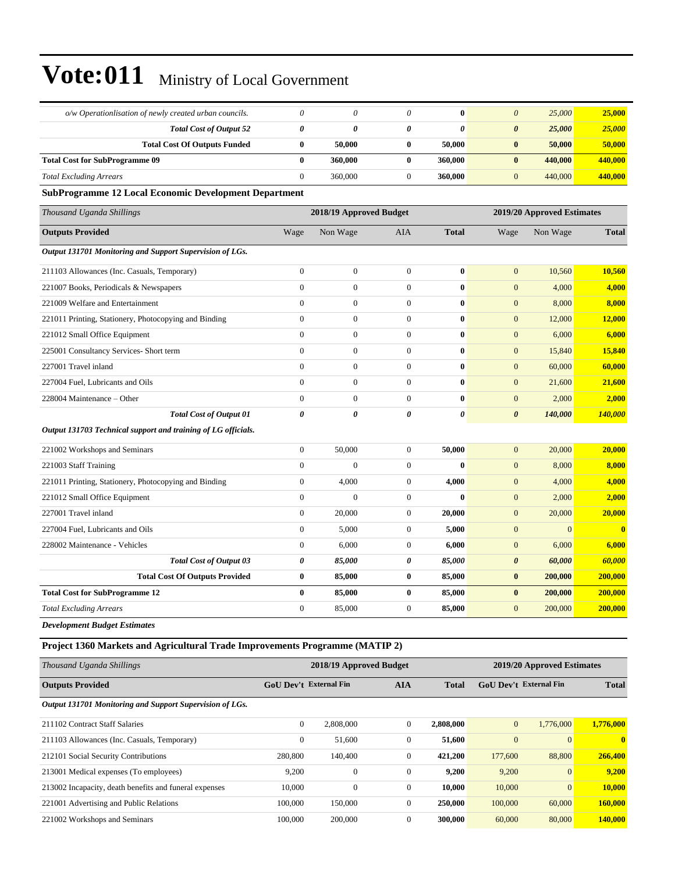| o/w Operationlisation of newly created urban councils.                       | 0                      | $\theta$                | $\theta$              | $\bf{0}$              | $\boldsymbol{\theta}$  | 25,000                     | 25,000        |
|------------------------------------------------------------------------------|------------------------|-------------------------|-----------------------|-----------------------|------------------------|----------------------------|---------------|
| <b>Total Cost of Output 52</b>                                               | 0                      | 0                       | 0                     | $\boldsymbol{\theta}$ | $\boldsymbol{\theta}$  | 25,000                     | 25,000        |
| <b>Total Cost Of Outputs Funded</b>                                          | $\bf{0}$               | 50,000                  | $\bf{0}$              | 50,000                | $\bf{0}$               | 50,000                     | 50,000        |
| <b>Total Cost for SubProgramme 09</b>                                        | $\bf{0}$               | 360,000                 | $\bf{0}$              | 360,000               | $\bf{0}$               | 440,000                    | 440,000       |
| <b>Total Excluding Arrears</b>                                               | $\mathbf{0}$           | 360,000                 | $\mathbf{0}$          | 360,000               | $\mathbf{0}$           | 440,000                    | 440,000       |
| <b>SubProgramme 12 Local Economic Development Department</b>                 |                        |                         |                       |                       |                        |                            |               |
| Thousand Uganda Shillings                                                    |                        | 2018/19 Approved Budget |                       |                       |                        | 2019/20 Approved Estimates |               |
| <b>Outputs Provided</b>                                                      | Wage                   | Non Wage                | AIA                   | <b>Total</b>          | Wage                   | Non Wage                   | <b>Total</b>  |
| Output 131701 Monitoring and Support Supervision of LGs.                     |                        |                         |                       |                       |                        |                            |               |
| 211103 Allowances (Inc. Casuals, Temporary)                                  | $\boldsymbol{0}$       | $\boldsymbol{0}$        | $\theta$              | $\bf{0}$              | $\mathbf{0}$           | 10,560                     | 10,560        |
| 221007 Books, Periodicals & Newspapers                                       | $\boldsymbol{0}$       | $\boldsymbol{0}$        | $\mathbf{0}$          | $\bf{0}$              | $\boldsymbol{0}$       | 4,000                      | 4,000         |
| 221009 Welfare and Entertainment                                             | $\boldsymbol{0}$       | $\boldsymbol{0}$        | $\mathbf{0}$          | $\bf{0}$              | $\mathbf{0}$           | 8,000                      | 8,000         |
| 221011 Printing, Stationery, Photocopying and Binding                        | $\boldsymbol{0}$       | $\boldsymbol{0}$        | $\theta$              | $\bf{0}$              | $\boldsymbol{0}$       | 12,000                     | <b>12,000</b> |
| 221012 Small Office Equipment                                                | $\overline{0}$         | $\mathbf{0}$            | $\theta$              | $\bf{0}$              | $\mathbf{0}$           | 6,000                      | 6,000         |
| 225001 Consultancy Services- Short term                                      | $\overline{0}$         | $\boldsymbol{0}$        | $\mathbf{0}$          | $\bf{0}$              | $\mathbf{0}$           | 15,840                     | 15,840        |
| 227001 Travel inland                                                         | $\overline{0}$         | $\boldsymbol{0}$        | $\mathbf{0}$          | $\bf{0}$              | $\boldsymbol{0}$       | 60,000                     | 60,000        |
| 227004 Fuel, Lubricants and Oils                                             | $\boldsymbol{0}$       | $\boldsymbol{0}$        | $\mathbf{0}$          | $\bf{0}$              | $\mathbf{0}$           | 21,600                     | 21,600        |
| 228004 Maintenance – Other                                                   | $\boldsymbol{0}$       | $\boldsymbol{0}$        | $\mathbf{0}$          | $\bf{0}$              | $\boldsymbol{0}$       | 2,000                      | 2,000         |
| <b>Total Cost of Output 01</b>                                               | 0                      | 0                       | $\boldsymbol{\theta}$ | $\boldsymbol{\theta}$ | $\boldsymbol{\theta}$  | 140,000                    | 140,000       |
| Output 131703 Technical support and training of LG officials.                |                        |                         |                       |                       |                        |                            |               |
| 221002 Workshops and Seminars                                                | $\boldsymbol{0}$       | 50,000                  | $\mathbf{0}$          | 50,000                | $\mathbf{0}$           | 20,000                     | 20,000        |
| 221003 Staff Training                                                        | $\overline{0}$         | $\mathbf{0}$            | $\theta$              | $\bf{0}$              | $\mathbf{0}$           | 8,000                      | 8,000         |
| 221011 Printing, Stationery, Photocopying and Binding                        | $\boldsymbol{0}$       | 4,000                   | $\boldsymbol{0}$      | 4,000                 | $\mathbf{0}$           | 4,000                      | 4,000         |
| 221012 Small Office Equipment                                                | $\boldsymbol{0}$       | $\boldsymbol{0}$        | $\mathbf{0}$          | $\bf{0}$              | $\mathbf{0}$           | 2,000                      | 2,000         |
| 227001 Travel inland                                                         | $\boldsymbol{0}$       | 20,000                  | $\mathbf{0}$          | 20,000                | $\boldsymbol{0}$       | 20,000                     | 20,000        |
| 227004 Fuel, Lubricants and Oils                                             | $\boldsymbol{0}$       | 5,000                   | $\mathbf{0}$          | 5,000                 | $\boldsymbol{0}$       | $\overline{0}$             | $\bf{0}$      |
| 228002 Maintenance - Vehicles                                                | $\boldsymbol{0}$       | 6,000                   | $\boldsymbol{0}$      | 6,000                 | $\mathbf{0}$           | 6,000                      | 6,000         |
| <b>Total Cost of Output 03</b>                                               | 0                      | 85,000                  | 0                     | 85,000                | 0                      | 60,000                     | 60,000        |
| <b>Total Cost Of Outputs Provided</b>                                        | $\bf{0}$               | 85,000                  | $\bf{0}$              | 85,000                | $\bf{0}$               | 200,000                    | 200,000       |
| <b>Total Cost for SubProgramme 12</b>                                        | $\bf{0}$               | 85,000                  | $\mathbf{0}$          | 85,000                | $\bf{0}$               | 200,000                    | 200,000       |
| <b>Total Excluding Arrears</b>                                               | $\boldsymbol{0}$       | 85,000                  | $\mathbf{0}$          | 85,000                | $\mathbf{0}$           | 200,000                    | 200,000       |
| <b>Development Budget Estimates</b>                                          |                        |                         |                       |                       |                        |                            |               |
| Project 1360 Markets and Agricultural Trade Improvements Programme (MATIP 2) |                        |                         |                       |                       |                        |                            |               |
| Thousand Uganda Shillings                                                    |                        | 2018/19 Approved Budget |                       |                       |                        | 2019/20 Approved Estimates |               |
| <b>Outputs Provided</b>                                                      | GoU Dev't External Fin |                         | <b>AIA</b>            | <b>Total</b>          | GoU Dev't External Fin |                            | <b>Total</b>  |
| Output 131701 Monitoring and Support Supervision of LGs.                     |                        |                         |                       |                       |                        |                            |               |
| 211102 Contract Staff Salaries                                               | $\boldsymbol{0}$       | 2,808,000               | $\mathbf{0}$          | 2,808,000             | $\mathbf{0}$           | 1,776,000                  | 1,776,000     |
| 211103 Allowances (Inc. Casuals, Temporary)                                  | $\boldsymbol{0}$       | 51,600                  | $\boldsymbol{0}$      | 51,600                | $\boldsymbol{0}$       | $\boldsymbol{0}$           | $\mathbf{0}$  |
| 212101 Social Security Contributions                                         | 280,800                | 140,400                 | $\boldsymbol{0}$      | 421,200               | 177,600                | 88,800                     | 266,400       |
| 213001 Medical expenses (To employees)                                       | 9,200                  | $\boldsymbol{0}$        | $\boldsymbol{0}$      | 9,200                 | 9,200                  | $\mathbf{0}$               | 9,200         |
| 213002 Incapacity, death benefits and funeral expenses                       | 10,000                 | $\boldsymbol{0}$        | $\boldsymbol{0}$      | 10,000                | 10,000                 | $\boldsymbol{0}$           | <b>10,000</b> |
| 221001 Advertising and Public Relations                                      | 100,000                | 150,000                 | $\boldsymbol{0}$      | 250,000               | 100,000                | 60,000                     | 160,000       |
| 221002 Workshops and Seminars                                                | 100,000                | 200,000                 | $\boldsymbol{0}$      | 300,000               | 60,000                 | 80,000                     | 140,000       |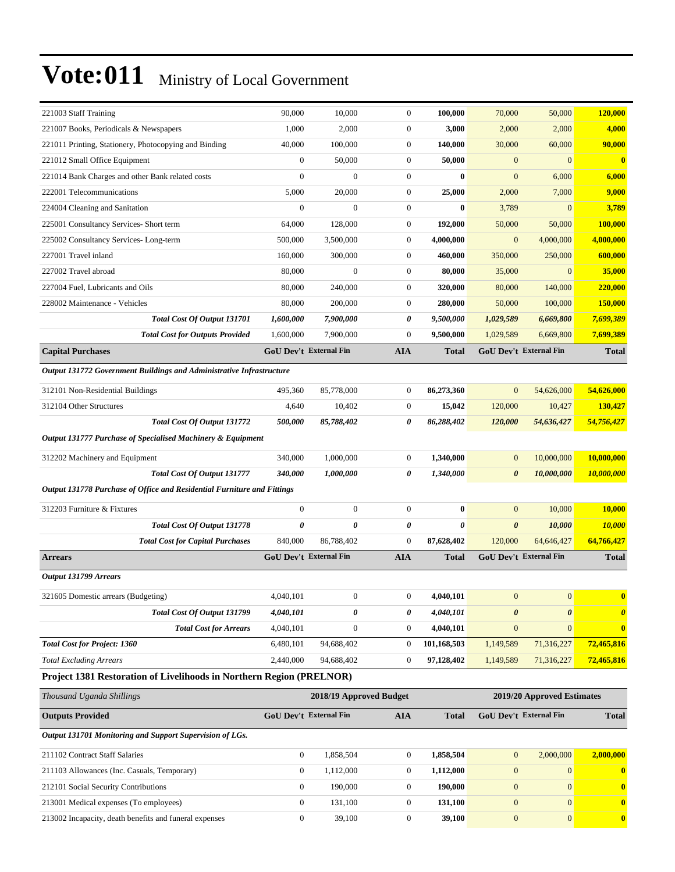| 221003 Staff Training                                                   | 90,000                        | 10,000                  | $\mathbf{0}$     | 100,000      | 70,000                | 50,000                        | 120,000                  |
|-------------------------------------------------------------------------|-------------------------------|-------------------------|------------------|--------------|-----------------------|-------------------------------|--------------------------|
| 221007 Books, Periodicals & Newspapers                                  | 1,000                         | 2,000                   | $\boldsymbol{0}$ | 3,000        | 2,000                 | 2,000                         | 4,000                    |
| 221011 Printing, Stationery, Photocopying and Binding                   | 40,000                        | 100,000                 | $\boldsymbol{0}$ | 140,000      | 30,000                | 60,000                        | 90,000                   |
| 221012 Small Office Equipment                                           | $\boldsymbol{0}$              | 50,000                  | $\boldsymbol{0}$ | 50,000       | $\mathbf{0}$          | $\mathbf{0}$                  | $\bf{0}$                 |
| 221014 Bank Charges and other Bank related costs                        | $\mathbf{0}$                  | $\mathbf{0}$            | $\mathbf{0}$     | $\bf{0}$     | $\boldsymbol{0}$      | 6,000                         | 6,000                    |
| 222001 Telecommunications                                               | 5,000                         | 20,000                  | $\boldsymbol{0}$ | 25,000       | 2,000                 | 7,000                         | 9,000                    |
| 224004 Cleaning and Sanitation                                          | $\boldsymbol{0}$              | $\mathbf{0}$            | $\boldsymbol{0}$ | $\bf{0}$     | 3,789                 | $\mathbf{0}$                  | 3,789                    |
| 225001 Consultancy Services- Short term                                 | 64,000                        | 128,000                 | $\boldsymbol{0}$ | 192,000      | 50,000                | 50,000                        | 100,000                  |
| 225002 Consultancy Services-Long-term                                   | 500,000                       | 3,500,000               | $\mathbf{0}$     | 4,000,000    | $\boldsymbol{0}$      | 4,000,000                     | 4,000,000                |
| 227001 Travel inland                                                    | 160,000                       | 300,000                 | $\boldsymbol{0}$ | 460,000      | 350,000               | 250,000                       | 600,000                  |
| 227002 Travel abroad                                                    | 80,000                        | $\mathbf{0}$            | $\boldsymbol{0}$ | 80,000       | 35,000                | $\mathbf{0}$                  | 35,000                   |
| 227004 Fuel, Lubricants and Oils                                        | 80,000                        | 240,000                 | $\boldsymbol{0}$ | 320,000      | 80,000                | 140,000                       | 220,000                  |
| 228002 Maintenance - Vehicles                                           | 80,000                        | 200,000                 | $\boldsymbol{0}$ | 280,000      | 50,000                | 100,000                       | 150,000                  |
| Total Cost Of Output 131701                                             | 1,600,000                     | 7,900,000               | 0                | 9,500,000    | 1,029,589             | 6,669,800                     | 7,699,389                |
| <b>Total Cost for Outputs Provided</b>                                  | 1,600,000                     | 7,900,000               | $\mathbf{0}$     | 9,500,000    | 1,029,589             | 6,669,800                     | 7,699,389                |
| <b>Capital Purchases</b>                                                | <b>GoU Dev't External Fin</b> |                         | <b>AIA</b>       | <b>Total</b> |                       | GoU Dev't External Fin        | <b>Total</b>             |
| Output 131772 Government Buildings and Administrative Infrastructure    |                               |                         |                  |              |                       |                               |                          |
| 312101 Non-Residential Buildings                                        | 495,360                       | 85,778,000              | $\mathbf{0}$     | 86,273,360   | $\mathbf{0}$          | 54,626,000                    | 54,626,000               |
| 312104 Other Structures                                                 | 4,640                         | 10,402                  | $\boldsymbol{0}$ | 15,042       | 120,000               | 10,427                        | 130,427                  |
| Total Cost Of Output 131772                                             | <i><b>500,000</b></i>         | 85,788,402              | 0                | 86,288,402   | 120,000               | 54,636,427                    | 54,756,427               |
| Output 131777 Purchase of Specialised Machinery & Equipment             |                               |                         |                  |              |                       |                               |                          |
| 312202 Machinery and Equipment                                          | 340,000                       | 1,000,000               | $\boldsymbol{0}$ | 1,340,000    | $\mathbf{0}$          | 10,000,000                    | 10,000,000               |
| Total Cost Of Output 131777                                             | 340,000                       | 1,000,000               | 0                | 1,340,000    | $\boldsymbol{\theta}$ | 10,000,000                    | <i><b>10,000,000</b></i> |
| Output 131778 Purchase of Office and Residential Furniture and Fittings |                               |                         |                  |              |                       |                               |                          |
| 312203 Furniture & Fixtures                                             | $\boldsymbol{0}$              | $\boldsymbol{0}$        | $\boldsymbol{0}$ | $\bf{0}$     | $\mathbf{0}$          | 10,000                        | 10,000                   |
| Total Cost Of Output 131778                                             | 0                             | 0                       | 0                | 0            | $\boldsymbol{\theta}$ | 10,000                        | 10,000                   |
| <b>Total Cost for Capital Purchases</b>                                 | 840,000                       | 86,788,402              | $\boldsymbol{0}$ | 87,628,402   | 120,000               | 64,646,427                    | 64,766,427               |
| <b>Arrears</b>                                                          | <b>GoU Dev't External Fin</b> |                         | <b>AIA</b>       | <b>Total</b> |                       | <b>GoU Dev't External Fin</b> | <b>Total</b>             |
| Output 131799 Arrears                                                   |                               |                         |                  |              |                       |                               |                          |
| 321605 Domestic arrears (Budgeting)                                     | 4,040,101                     | $\mathbf{0}$            | $\boldsymbol{0}$ | 4,040,101    | $\overline{0}$        | $\overline{0}$                | $\bf{0}$                 |
| Total Cost Of Output 131799                                             | 4,040,101                     | 0                       | 0                | 4,040,101    | $\pmb{\theta}$        | $\boldsymbol{\theta}$         | $\boldsymbol{\theta}$    |
| <b>Total Cost for Arrears</b>                                           | 4,040,101                     | $\boldsymbol{0}$        | $\boldsymbol{0}$ | 4,040,101    | $\boldsymbol{0}$      | $\mathbf{0}$                  | $\mathbf{0}$             |
| <b>Total Cost for Project: 1360</b>                                     | 6,480,101                     | 94,688,402              | $\boldsymbol{0}$ | 101,168,503  | 1,149,589             | 71,316,227                    | 72,465,816               |
| <b>Total Excluding Arrears</b>                                          | 2,440,000                     | 94,688,402              | $\boldsymbol{0}$ | 97,128,402   | 1,149,589             | 71,316,227                    | 72,465,816               |
| Project 1381 Restoration of Livelihoods in Northern Region (PRELNOR)    |                               |                         |                  |              |                       |                               |                          |
| Thousand Uganda Shillings                                               |                               | 2018/19 Approved Budget |                  |              |                       | 2019/20 Approved Estimates    |                          |
| <b>Outputs Provided</b>                                                 | <b>GoU Dev't External Fin</b> |                         | AIA              | <b>Total</b> |                       | <b>GoU Dev't External Fin</b> | <b>Total</b>             |
| Output 131701 Monitoring and Support Supervision of LGs.                |                               |                         |                  |              |                       |                               |                          |
| 211102 Contract Staff Salaries                                          | $\boldsymbol{0}$              | 1,858,504               | $\boldsymbol{0}$ | 1,858,504    | $\boldsymbol{0}$      | 2,000,000                     | 2,000,000                |
| 211103 Allowances (Inc. Casuals, Temporary)                             | $\boldsymbol{0}$              | 1,112,000               | $\boldsymbol{0}$ | 1,112,000    | $\boldsymbol{0}$      | $\boldsymbol{0}$              | $\bf{0}$                 |
| 212101 Social Security Contributions                                    | $\boldsymbol{0}$              | 190,000                 | $\boldsymbol{0}$ | 190,000      | $\boldsymbol{0}$      | $\mathbf{0}$                  | $\mathbf{0}$             |
| 213001 Medical expenses (To employees)                                  | $\boldsymbol{0}$              | 131,100                 | $\boldsymbol{0}$ | 131,100      | $\mathbf{0}$          | $\mathbf{0}$                  | $\mathbf{0}$             |
|                                                                         |                               |                         |                  |              |                       |                               |                          |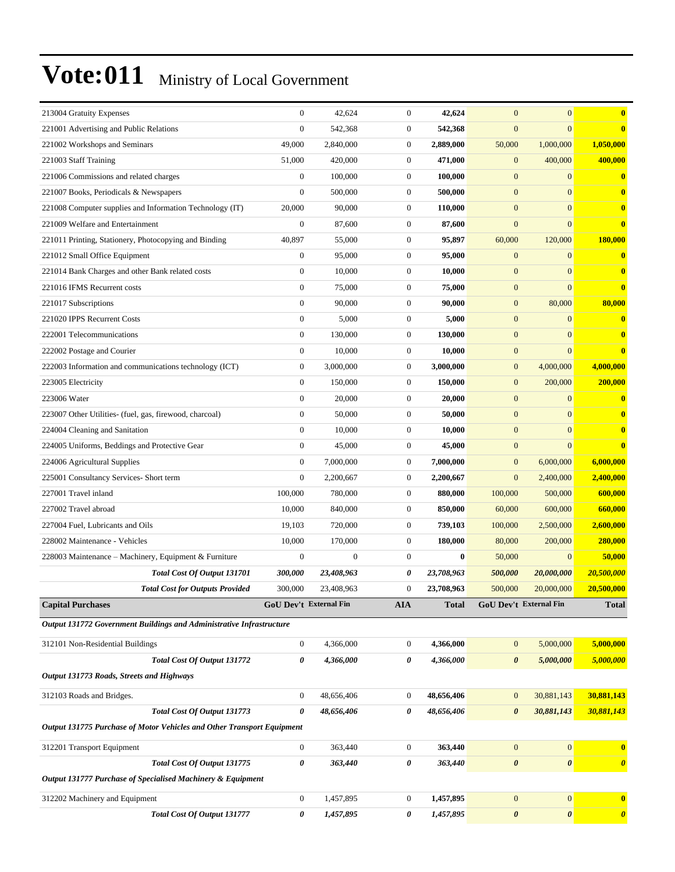| 213004 Gratuity Expenses                                               | $\mathbf{0}$           | 42,624           | $\mathbf{0}$     | 42,624       | $\overline{0}$        | $\mathbf{0}$           | $\bf{0}$              |
|------------------------------------------------------------------------|------------------------|------------------|------------------|--------------|-----------------------|------------------------|-----------------------|
| 221001 Advertising and Public Relations                                | $\boldsymbol{0}$       | 542,368          | $\mathbf{0}$     | 542,368      | $\mathbf{0}$          | $\mathbf{0}$           | $\bf{0}$              |
| 221002 Workshops and Seminars                                          | 49,000                 | 2,840,000        | $\mathbf{0}$     | 2,889,000    | 50,000                | 1,000,000              | 1,050,000             |
| 221003 Staff Training                                                  | 51,000                 | 420,000          | $\mathbf{0}$     | 471,000      | $\mathbf{0}$          | 400,000                | 400,000               |
| 221006 Commissions and related charges                                 | $\boldsymbol{0}$       | 100,000          | $\mathbf{0}$     | 100,000      | $\mathbf{0}$          | $\mathbf{0}$           | $\bf{0}$              |
| 221007 Books, Periodicals & Newspapers                                 | $\boldsymbol{0}$       | 500,000          | $\mathbf{0}$     | 500,000      | $\mathbf{0}$          | $\mathbf{0}$           | $\bf{0}$              |
| 221008 Computer supplies and Information Technology (IT)               | 20,000                 | 90,000           | $\boldsymbol{0}$ | 110,000      | $\mathbf{0}$          | $\mathbf{0}$           | $\mathbf{0}$          |
| 221009 Welfare and Entertainment                                       | $\boldsymbol{0}$       | 87,600           | $\mathbf{0}$     | 87,600       | $\mathbf{0}$          | $\mathbf{0}$           | $\bf{0}$              |
| 221011 Printing, Stationery, Photocopying and Binding                  | 40,897                 | 55,000           | $\mathbf{0}$     | 95,897       | 60,000                | 120,000                | 180,000               |
| 221012 Small Office Equipment                                          | $\boldsymbol{0}$       | 95,000           | $\mathbf{0}$     | 95,000       | $\mathbf{0}$          | $\mathbf{0}$           | $\bf{0}$              |
| 221014 Bank Charges and other Bank related costs                       | $\boldsymbol{0}$       | 10,000           | $\boldsymbol{0}$ | 10,000       | $\mathbf{0}$          | $\mathbf{0}$           | $\bf{0}$              |
| 221016 IFMS Recurrent costs                                            | $\boldsymbol{0}$       | 75,000           | $\boldsymbol{0}$ | 75,000       | $\mathbf{0}$          | $\mathbf{0}$           | $\bf{0}$              |
| 221017 Subscriptions                                                   | $\boldsymbol{0}$       | 90,000           | $\boldsymbol{0}$ | 90,000       | $\mathbf{0}$          | 80,000                 | 80,000                |
| 221020 IPPS Recurrent Costs                                            | $\boldsymbol{0}$       | 5,000            | $\boldsymbol{0}$ | 5,000        | $\mathbf{0}$          | $\mathbf{0}$           | $\bf{0}$              |
| 222001 Telecommunications                                              | $\boldsymbol{0}$       | 130,000          | $\boldsymbol{0}$ | 130,000      | $\mathbf{0}$          | $\mathbf{0}$           | $\mathbf{0}$          |
| 222002 Postage and Courier                                             | $\boldsymbol{0}$       | 10,000           | $\boldsymbol{0}$ | 10,000       | $\mathbf{0}$          | $\mathbf{0}$           | $\bf{0}$              |
| 222003 Information and communications technology (ICT)                 | $\boldsymbol{0}$       | 3.000.000        | $\boldsymbol{0}$ | 3,000,000    | $\boldsymbol{0}$      | 4,000,000              | 4,000,000             |
| 223005 Electricity                                                     | $\boldsymbol{0}$       | 150,000          | $\boldsymbol{0}$ | 150,000      | $\mathbf{0}$          | 200,000                | 200,000               |
| 223006 Water                                                           | $\boldsymbol{0}$       | 20,000           | $\boldsymbol{0}$ | 20,000       | $\mathbf{0}$          | $\mathbf{0}$           | $\bf{0}$              |
| 223007 Other Utilities- (fuel, gas, firewood, charcoal)                | $\boldsymbol{0}$       | 50,000           | $\boldsymbol{0}$ | 50,000       | $\mathbf{0}$          | $\mathbf{0}$           | $\bf{0}$              |
| 224004 Cleaning and Sanitation                                         | $\mathbf{0}$           | 10,000           | $\boldsymbol{0}$ | 10,000       | $\mathbf{0}$          | $\mathbf{0}$           | $\bf{0}$              |
| 224005 Uniforms, Beddings and Protective Gear                          | $\boldsymbol{0}$       | 45,000           | $\boldsymbol{0}$ | 45,000       | $\boldsymbol{0}$      | $\mathbf{0}$           | $\bf{0}$              |
| 224006 Agricultural Supplies                                           | $\boldsymbol{0}$       | 7,000,000        | $\boldsymbol{0}$ | 7,000,000    | $\mathbf{0}$          | 6,000,000              | 6,000,000             |
| 225001 Consultancy Services- Short term                                | $\boldsymbol{0}$       | 2,200,667        | $\boldsymbol{0}$ | 2,200,667    | $\overline{0}$        | 2,400,000              | 2,400,000             |
| 227001 Travel inland                                                   | 100,000                | 780,000          | $\mathbf{0}$     | 880,000      | 100,000               | 500,000                | 600,000               |
| 227002 Travel abroad                                                   | 10,000                 | 840,000          | $\mathbf{0}$     | 850,000      | 60,000                | 600,000                | 660,000               |
| 227004 Fuel, Lubricants and Oils                                       | 19,103                 | 720,000          | $\boldsymbol{0}$ | 739,103      | 100,000               | 2,500,000              | 2,600,000             |
| 228002 Maintenance - Vehicles                                          | 10,000                 | 170,000          | $\mathbf{0}$     | 180,000      | 80,000                | 200,000                | 280,000               |
| 228003 Maintenance - Machinery, Equipment & Furniture                  | $\boldsymbol{0}$       | $\boldsymbol{0}$ | $\mathbf{0}$     | 0            | 50,000                | $\mathbf{0}$           | 50,000                |
| Total Cost Of Output 131701                                            | 300,000                | 23,408,963       | 0                | 23,708,963   | 500,000               | 20,000,000             | 20,500,000            |
| <b>Total Cost for Outputs Provided</b>                                 | 300,000                | 23,408,963       | $\mathbf{0}$     | 23,708,963   | 500,000               | 20,000,000             | 20,500,000            |
| <b>Capital Purchases</b>                                               | GoU Dev't External Fin |                  | <b>AIA</b>       | <b>Total</b> |                       | GoU Dev't External Fin | <b>Total</b>          |
| Output 131772 Government Buildings and Administrative Infrastructure   |                        |                  |                  |              |                       |                        |                       |
| 312101 Non-Residential Buildings                                       | $\boldsymbol{0}$       | 4,366,000        | $\mathbf{0}$     | 4,366,000    | $\boldsymbol{0}$      | 5,000,000              | 5,000,000             |
| <b>Total Cost Of Output 131772</b>                                     | 0                      | 4,366,000        | 0                | 4,366,000    | $\boldsymbol{\theta}$ | 5,000,000              | 5,000,000             |
| Output 131773 Roads, Streets and Highways                              |                        |                  |                  |              |                       |                        |                       |
|                                                                        |                        |                  |                  |              |                       |                        |                       |
| 312103 Roads and Bridges.                                              | $\boldsymbol{0}$       | 48,656,406       | $\boldsymbol{0}$ | 48,656,406   | $\boldsymbol{0}$      | 30,881,143             | 30,881,143            |
| Total Cost Of Output 131773                                            | 0                      | 48,656,406       | 0                | 48,656,406   | $\boldsymbol{\theta}$ | 30,881,143             | 30,881,143            |
| Output 131775 Purchase of Motor Vehicles and Other Transport Equipment |                        |                  |                  |              |                       |                        |                       |
| 312201 Transport Equipment                                             | $\boldsymbol{0}$       | 363,440          | $\boldsymbol{0}$ | 363,440      | $\mathbf{0}$          | $\boldsymbol{0}$       | $\bf{0}$              |
| Total Cost Of Output 131775                                            | 0                      | 363,440          | $\pmb{\theta}$   | 363,440      | $\pmb{\theta}$        | $\boldsymbol{\theta}$  | $\boldsymbol{\theta}$ |
| Output 131777 Purchase of Specialised Machinery & Equipment            |                        |                  |                  |              |                       |                        |                       |
| 312202 Machinery and Equipment                                         | $\boldsymbol{0}$       | 1,457,895        | $\boldsymbol{0}$ | 1,457,895    | $\boldsymbol{0}$      | $\boldsymbol{0}$       | $\mathbf{0}$          |
| Total Cost Of Output 131777                                            | 0                      | 1,457,895        | 0                | 1,457,895    | $\pmb{\theta}$        | $\boldsymbol{\theta}$  | $\boldsymbol{\theta}$ |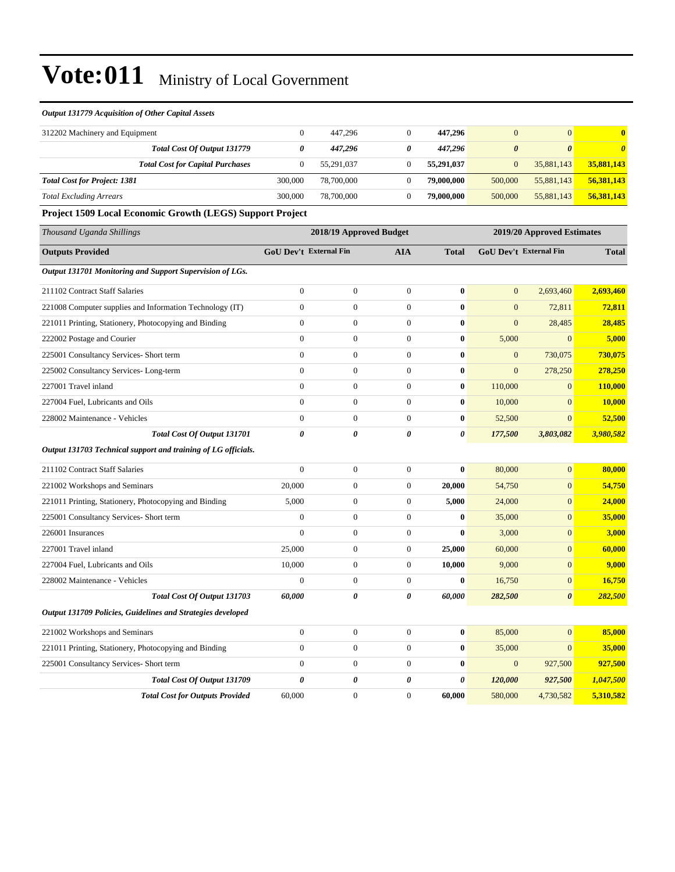#### *Output 131779 Acquisition of Other Capital Assets*

| 312202 Machinery and Equipment      |                                         |         | 447.296    | 447.296    | U                     |                       | 0.         |
|-------------------------------------|-----------------------------------------|---------|------------|------------|-----------------------|-----------------------|------------|
|                                     | Total Cost Of Output 131779             | 0       | 447.296    | 447.296    | $\boldsymbol{\theta}$ | $\boldsymbol{\theta}$ |            |
|                                     | <b>Total Cost for Capital Purchases</b> |         | 55.291.037 | 55.291.037 | $\overline{0}$        | 35,881,143            | 35,881,143 |
| <b>Total Cost for Project: 1381</b> |                                         | 300,000 | 78,700,000 | 79,000,000 | 500,000               | 55,881,143            | 56,381,143 |
| <b>Total Excluding Arrears</b>      |                                         | 300,000 | 78,700,000 | 79,000,000 | 500,000               | 55,881,143            | 56,381,143 |

#### **Project 1509 Local Economic Growth (LEGS) Support Project**

| Thousand Uganda Shillings                                     | 2018/19 Approved Budget<br>2019/20 Approved Estimates |                  |                  |              |                               |                       |              |
|---------------------------------------------------------------|-------------------------------------------------------|------------------|------------------|--------------|-------------------------------|-----------------------|--------------|
| <b>Outputs Provided</b>                                       | <b>GoU Dev't External Fin</b>                         |                  | <b>AIA</b>       | <b>Total</b> | <b>GoU Dev't External Fin</b> |                       | <b>Total</b> |
| Output 131701 Monitoring and Support Supervision of LGs.      |                                                       |                  |                  |              |                               |                       |              |
| 211102 Contract Staff Salaries                                | $\boldsymbol{0}$                                      | $\boldsymbol{0}$ | $\boldsymbol{0}$ | $\bf{0}$     | $\boldsymbol{0}$              | 2,693,460             | 2,693,460    |
| 221008 Computer supplies and Information Technology (IT)      | $\mathbf{0}$                                          | $\overline{0}$   | $\mathbf{0}$     | $\mathbf{0}$ | $\overline{0}$                | 72,811                | 72,811       |
| 221011 Printing, Stationery, Photocopying and Binding         | $\overline{0}$                                        | $\boldsymbol{0}$ | $\mathbf{0}$     | $\bf{0}$     | $\overline{0}$                | 28,485                | 28,485       |
| 222002 Postage and Courier                                    | $\mathbf{0}$                                          | $\overline{0}$   | $\mathbf{0}$     | $\bf{0}$     | 5,000                         | $\mathbf{0}$          | 5,000        |
| 225001 Consultancy Services- Short term                       | $\boldsymbol{0}$                                      | $\boldsymbol{0}$ | $\boldsymbol{0}$ | $\bf{0}$     | $\boldsymbol{0}$              | 730,075               | 730,075      |
| 225002 Consultancy Services-Long-term                         | $\overline{0}$                                        | $\boldsymbol{0}$ | $\mathbf{0}$     | $\bf{0}$     | $\boldsymbol{0}$              | 278,250               | 278,250      |
| 227001 Travel inland                                          | $\overline{0}$                                        | $\overline{0}$   | $\mathbf{0}$     | $\bf{0}$     | 110,000                       | $\mathbf{0}$          | 110,000      |
| 227004 Fuel, Lubricants and Oils                              | $\overline{0}$                                        | $\boldsymbol{0}$ | $\mathbf{0}$     | $\bf{0}$     | 10,000                        | $\mathbf{0}$          | 10,000       |
| 228002 Maintenance - Vehicles                                 | $\overline{0}$                                        | $\boldsymbol{0}$ | $\boldsymbol{0}$ | $\bf{0}$     | 52,500                        | $\mathbf{0}$          | 52,500       |
| Total Cost Of Output 131701                                   | 0                                                     | 0                | 0                | 0            | 177,500                       | 3,803,082             | 3,980,582    |
| Output 131703 Technical support and training of LG officials. |                                                       |                  |                  |              |                               |                       |              |
| 211102 Contract Staff Salaries                                | $\overline{0}$                                        | $\boldsymbol{0}$ | $\mathbf{0}$     | $\bf{0}$     | 80,000                        | $\mathbf{0}$          | 80,000       |
| 221002 Workshops and Seminars                                 | 20,000                                                | $\boldsymbol{0}$ | $\boldsymbol{0}$ | 20,000       | 54,750                        | $\mathbf{0}$          | 54,750       |
| 221011 Printing, Stationery, Photocopying and Binding         | 5,000                                                 | $\boldsymbol{0}$ | $\mathbf{0}$     | 5,000        | 24,000                        | $\mathbf{0}$          | 24,000       |
| 225001 Consultancy Services- Short term                       | $\overline{0}$                                        | $\overline{0}$   | $\mathbf{0}$     | $\bf{0}$     | 35,000                        | $\mathbf{0}$          | 35,000       |
| 226001 Insurances                                             | $\overline{0}$                                        | $\boldsymbol{0}$ | $\boldsymbol{0}$ | $\bf{0}$     | 3,000                         | $\mathbf{0}$          | 3,000        |
| 227001 Travel inland                                          | 25,000                                                | $\overline{0}$   | $\mathbf{0}$     | 25,000       | 60,000                        | $\mathbf{0}$          | 60,000       |
| 227004 Fuel, Lubricants and Oils                              | 10,000                                                | $\boldsymbol{0}$ | $\boldsymbol{0}$ | 10,000       | 9,000                         | $\mathbf{0}$          | 9,000        |
| 228002 Maintenance - Vehicles                                 | $\overline{0}$                                        | $\overline{0}$   | $\mathbf{0}$     | $\bf{0}$     | 16,750                        | $\mathbf{0}$          | 16,750       |
| Total Cost Of Output 131703                                   | 60,000                                                | 0                | $\pmb{\theta}$   | 60,000       | 282,500                       | $\boldsymbol{\theta}$ | 282,500      |
| Output 131709 Policies, Guidelines and Strategies developed   |                                                       |                  |                  |              |                               |                       |              |
| 221002 Workshops and Seminars                                 | $\overline{0}$                                        | $\boldsymbol{0}$ | $\mathbf{0}$     | $\bf{0}$     | 85,000                        | $\mathbf{0}$          | 85,000       |
| 221011 Printing, Stationery, Photocopying and Binding         | $\boldsymbol{0}$                                      | $\boldsymbol{0}$ | $\boldsymbol{0}$ | $\bf{0}$     | 35,000                        | $\mathbf{0}$          | 35,000       |
| 225001 Consultancy Services- Short term                       | $\overline{0}$                                        | $\overline{0}$   | $\mathbf{0}$     | $\bf{0}$     | $\overline{0}$                | 927,500               | 927,500      |
| Total Cost Of Output 131709                                   | $\theta$                                              | 0                | 0                | 0            | 120,000                       | 927,500               | 1,047,500    |
| <b>Total Cost for Outputs Provided</b>                        | 60,000                                                | $\mathbf{0}$     | $\mathbf{0}$     | 60,000       | 580,000                       | 4,730,582             | 5,310,582    |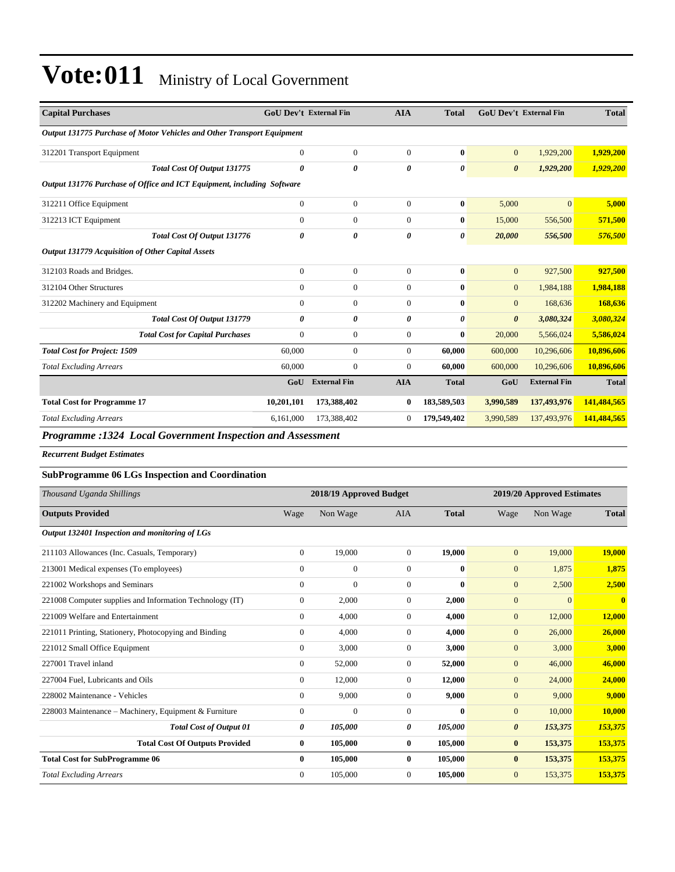| <b>Capital Purchases</b>                                                                         | GoU Dev't External Fin<br><b>AIA</b><br><b>GoU Dev't External Fin</b><br><b>Total</b> |                       |                       | <b>Total</b> |                       |                     |              |
|--------------------------------------------------------------------------------------------------|---------------------------------------------------------------------------------------|-----------------------|-----------------------|--------------|-----------------------|---------------------|--------------|
| Output 131775 Purchase of Motor Vehicles and Other Transport Equipment                           |                                                                                       |                       |                       |              |                       |                     |              |
| 312201 Transport Equipment                                                                       | $\overline{0}$                                                                        | $\mathbf{0}$          | $\overline{0}$        | $\mathbf{0}$ | $\mathbf{0}$          | 1,929,200           | 1,929,200    |
| Total Cost Of Output 131775                                                                      | $\theta$                                                                              | $\boldsymbol{\theta}$ | $\boldsymbol{\theta}$ | 0            | $\boldsymbol{\theta}$ | 1,929,200           | 1,929,200    |
| Output 131776 Purchase of Office and ICT Equipment, including Software                           |                                                                                       |                       |                       |              |                       |                     |              |
| 312211 Office Equipment                                                                          | $\overline{0}$                                                                        | $\overline{0}$        | $\mathbf{0}$          | $\bf{0}$     | 5,000                 | $\overline{0}$      | 5,000        |
| 312213 ICT Equipment                                                                             | $\mathbf{0}$                                                                          | $\boldsymbol{0}$      | $\overline{0}$        | $\bf{0}$     | 15,000                | 556,500             | 571,500      |
| Total Cost Of Output 131776                                                                      | 0                                                                                     | 0                     | 0                     | 0            | 20,000                | 556,500             | 576,500      |
| Output 131779 Acquisition of Other Capital Assets                                                |                                                                                       |                       |                       |              |                       |                     |              |
| 312103 Roads and Bridges.                                                                        | $\overline{0}$                                                                        | $\boldsymbol{0}$      | $\mathbf{0}$          | $\bf{0}$     | $\mathbf{0}$          | 927,500             | 927,500      |
| 312104 Other Structures                                                                          | $\overline{0}$                                                                        | $\mathbf{0}$          | $\mathbf{0}$          | $\bf{0}$     | $\mathbf{0}$          | 1,984,188           | 1,984,188    |
| 312202 Machinery and Equipment                                                                   | $\Omega$                                                                              | $\mathbf{0}$          | $\Omega$              | $\mathbf{0}$ | $\mathbf{0}$          | 168,636             | 168,636      |
| <b>Total Cost Of Output 131779</b>                                                               | 0                                                                                     | 0                     | 0                     | 0            | $\boldsymbol{\theta}$ | 3,080,324           | 3,080,324    |
| <b>Total Cost for Capital Purchases</b>                                                          | $\overline{0}$                                                                        | $\boldsymbol{0}$      | $\mathbf{0}$          | $\bf{0}$     | 20,000                | 5,566,024           | 5,586,024    |
| <b>Total Cost for Project: 1509</b>                                                              | 60,000                                                                                | $\overline{0}$        | $\overline{0}$        | 60,000       | 600,000               | 10,296,606          | 10,896,606   |
| <b>Total Excluding Arrears</b>                                                                   | 60,000                                                                                | $\boldsymbol{0}$      | $\overline{0}$        | 60,000       | 600,000               | 10,296,606          | 10,896,606   |
|                                                                                                  | GoU                                                                                   | <b>External Fin</b>   | <b>AIA</b>            | <b>Total</b> | GoU                   | <b>External Fin</b> | <b>Total</b> |
| <b>Total Cost for Programme 17</b>                                                               | 10,201,101                                                                            | 173,388,402           | $\bf{0}$              | 183,589,503  | 3,990,589             | 137,493,976         | 141,484,565  |
| <b>Total Excluding Arrears</b>                                                                   | 6,161,000                                                                             | 173,388,402           | $\mathbf{0}$          | 179,549,402  | 3,990,589             | 137,493,976         | 141,484,565  |
| $D_{\text{max}}$ and $\alpha$ and $\alpha$ and $\alpha$ are constant $L$ and $L$ and $L$ and $L$ |                                                                                       |                       |                       |              |                       |                     |              |

*Programme :1324 Local Government Inspection and Assessment*

*Recurrent Budget Estimates*

#### **SubProgramme 06 LGs Inspection and Coordination**

| Thousand Uganda Shillings                                |                | 2018/19 Approved Budget |              |              | 2019/20 Approved Estimates |                |              |  |
|----------------------------------------------------------|----------------|-------------------------|--------------|--------------|----------------------------|----------------|--------------|--|
| <b>Outputs Provided</b>                                  | Wage           | Non Wage                | <b>AIA</b>   | <b>Total</b> | Wage                       | Non Wage       | <b>Total</b> |  |
| Output 132401 Inspection and monitoring of LGs           |                |                         |              |              |                            |                |              |  |
| 211103 Allowances (Inc. Casuals, Temporary)              | $\overline{0}$ | 19,000                  | $\Omega$     | 19,000       | $\overline{0}$             | 19,000         | 19,000       |  |
| 213001 Medical expenses (To employees)                   | $\Omega$       | $\mathbf{0}$            | $\Omega$     | $\mathbf{0}$ | $\mathbf{0}$               | 1,875          | 1,875        |  |
| 221002 Workshops and Seminars                            | $\Omega$       | $\mathbf{0}$            | $\Omega$     | $\mathbf{0}$ | $\overline{0}$             | 2,500          | 2,500        |  |
| 221008 Computer supplies and Information Technology (IT) | $\mathbf{0}$   | 2,000                   | $\Omega$     | 2,000        | $\overline{0}$             | $\overline{0}$ | $\mathbf{0}$ |  |
| 221009 Welfare and Entertainment                         | $\Omega$       | 4,000                   | $\Omega$     | 4,000        | $\overline{0}$             | 12,000         | 12,000       |  |
| 221011 Printing, Stationery, Photocopying and Binding    | $\overline{0}$ | 4,000                   | $\mathbf{0}$ | 4,000        | $\overline{0}$             | 26,000         | 26,000       |  |
| 221012 Small Office Equipment                            | $\overline{0}$ | 3,000                   | $\mathbf{0}$ | 3,000        | $\overline{0}$             | 3,000          | 3,000        |  |
| 227001 Travel inland                                     | $\Omega$       | 52,000                  | $\Omega$     | 52,000       | $\overline{0}$             | 46,000         | 46,000       |  |
| 227004 Fuel, Lubricants and Oils                         | $\Omega$       | 12,000                  | $\Omega$     | 12,000       | $\overline{0}$             | 24,000         | 24,000       |  |
| 228002 Maintenance - Vehicles                            | $\Omega$       | 9,000                   | $\Omega$     | 9,000        | $\mathbf{0}$               | 9,000          | 9,000        |  |
| 228003 Maintenance – Machinery, Equipment & Furniture    | $\Omega$       | $\mathbf{0}$            | $\Omega$     | $\mathbf{0}$ | $\mathbf{0}$               | 10,000         | 10,000       |  |
| <b>Total Cost of Output 01</b>                           | 0              | 105,000                 | 0            | 105,000      | $\boldsymbol{\theta}$      | 153,375        | 153,375      |  |
| <b>Total Cost Of Outputs Provided</b>                    | $\bf{0}$       | 105,000                 | $\bf{0}$     | 105,000      | $\bf{0}$                   | 153,375        | 153,375      |  |
| <b>Total Cost for SubProgramme 06</b>                    | $\bf{0}$       | 105,000                 | 0            | 105,000      | $\bf{0}$                   | 153,375        | 153,375      |  |
| <b>Total Excluding Arrears</b>                           | $\Omega$       | 105,000                 | $\Omega$     | 105,000      | $\overline{0}$             | 153,375        | 153,375      |  |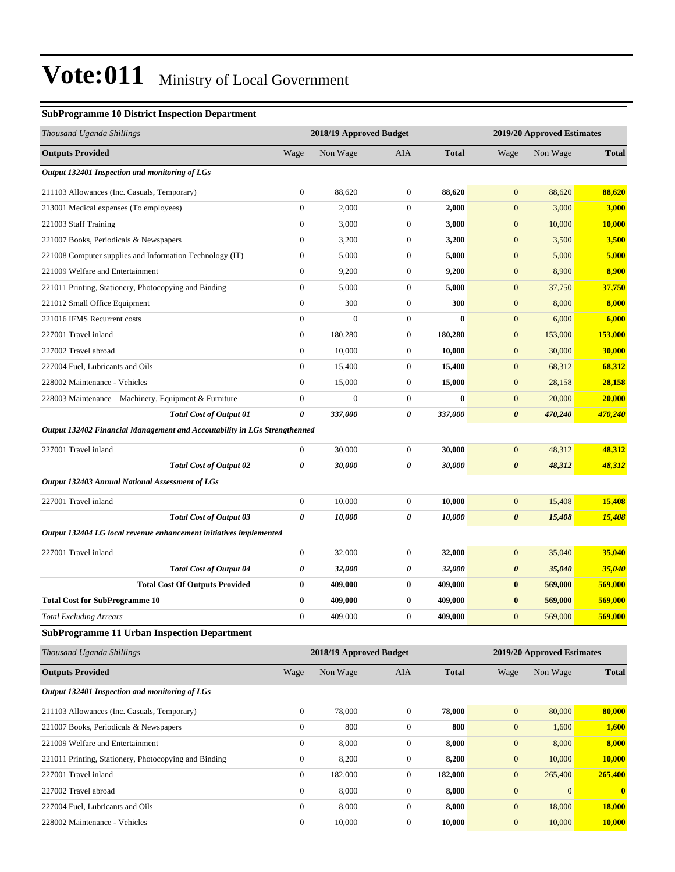#### **SubProgramme 10 District Inspection Department**

| Thousand Uganda Shillings                                                 |                  | 2018/19 Approved Budget |                  |              | 2019/20 Approved Estimates |                            |                         |
|---------------------------------------------------------------------------|------------------|-------------------------|------------------|--------------|----------------------------|----------------------------|-------------------------|
| <b>Outputs Provided</b>                                                   | Wage             | Non Wage                | AIA              | <b>Total</b> | Wage                       | Non Wage                   | <b>Total</b>            |
| Output 132401 Inspection and monitoring of LGs                            |                  |                         |                  |              |                            |                            |                         |
| 211103 Allowances (Inc. Casuals, Temporary)                               | $\boldsymbol{0}$ | 88,620                  | $\boldsymbol{0}$ | 88,620       | $\mathbf{0}$               | 88,620                     | 88,620                  |
| 213001 Medical expenses (To employees)                                    | $\boldsymbol{0}$ | 2,000                   | $\boldsymbol{0}$ | 2,000        | $\mathbf{0}$               | 3,000                      | 3,000                   |
| 221003 Staff Training                                                     | $\boldsymbol{0}$ | 3,000                   | $\boldsymbol{0}$ | 3,000        | $\mathbf{0}$               | 10,000                     | 10,000                  |
| 221007 Books, Periodicals & Newspapers                                    | $\boldsymbol{0}$ | 3,200                   | $\boldsymbol{0}$ | 3,200        | $\mathbf{0}$               | 3,500                      | 3,500                   |
| 221008 Computer supplies and Information Technology (IT)                  | $\boldsymbol{0}$ | 5,000                   | $\boldsymbol{0}$ | 5,000        | $\mathbf{0}$               | 5,000                      | 5,000                   |
| 221009 Welfare and Entertainment                                          | $\boldsymbol{0}$ | 9,200                   | $\boldsymbol{0}$ | 9,200        | $\mathbf{0}$               | 8,900                      | 8,900                   |
| 221011 Printing, Stationery, Photocopying and Binding                     | $\mathbf{0}$     | 5,000                   | $\boldsymbol{0}$ | 5,000        | $\mathbf{0}$               | 37,750                     | 37,750                  |
| 221012 Small Office Equipment                                             | $\boldsymbol{0}$ | 300                     | $\boldsymbol{0}$ | 300          | $\mathbf{0}$               | 8,000                      | 8,000                   |
| 221016 IFMS Recurrent costs                                               | $\boldsymbol{0}$ | $\boldsymbol{0}$        | $\boldsymbol{0}$ | $\bf{0}$     | $\mathbf{0}$               | 6,000                      | 6,000                   |
| 227001 Travel inland                                                      | $\boldsymbol{0}$ | 180,280                 | $\boldsymbol{0}$ | 180,280      | $\mathbf{0}$               | 153,000                    | 153,000                 |
| 227002 Travel abroad                                                      | $\boldsymbol{0}$ | 10,000                  | $\boldsymbol{0}$ | 10,000       | $\mathbf{0}$               | 30,000                     | 30,000                  |
| 227004 Fuel, Lubricants and Oils                                          | $\boldsymbol{0}$ | 15,400                  | $\boldsymbol{0}$ | 15,400       | $\mathbf{0}$               | 68,312                     | 68,312                  |
| 228002 Maintenance - Vehicles                                             | $\boldsymbol{0}$ | 15,000                  | $\boldsymbol{0}$ | 15,000       | $\mathbf{0}$               | 28,158                     | 28,158                  |
| 228003 Maintenance - Machinery, Equipment & Furniture                     | $\boldsymbol{0}$ | $\boldsymbol{0}$        | $\boldsymbol{0}$ | $\bf{0}$     | $\mathbf{0}$               | 20,000                     | 20,000                  |
| <b>Total Cost of Output 01</b>                                            | 0                | 337,000                 | 0                | 337,000      | $\boldsymbol{\theta}$      | 470,240                    | 470,240                 |
| Output 132402 Financial Management and Accoutability in LGs Strengthenned |                  |                         |                  |              |                            |                            |                         |
| 227001 Travel inland                                                      | $\boldsymbol{0}$ | 30,000                  | $\overline{0}$   | 30,000       | $\boldsymbol{0}$           | 48,312                     | 48,312                  |
| <b>Total Cost of Output 02</b>                                            | 0                | 30,000                  | 0                | 30,000       | $\boldsymbol{\theta}$      | 48,312                     | 48,312                  |
| Output 132403 Annual National Assessment of LGs                           |                  |                         |                  |              |                            |                            |                         |
| 227001 Travel inland                                                      | $\boldsymbol{0}$ | 10,000                  | $\boldsymbol{0}$ | 10,000       | $\mathbf{0}$               | 15,408                     | 15,408                  |
| <b>Total Cost of Output 03</b>                                            | 0                | 10,000                  | 0                | 10,000       | $\boldsymbol{\theta}$      | 15,408                     | 15,408                  |
| Output 132404 LG local revenue enhancement initiatives implemented        |                  |                         |                  |              |                            |                            |                         |
| 227001 Travel inland                                                      | $\boldsymbol{0}$ | 32,000                  | $\boldsymbol{0}$ | 32,000       | $\mathbf{0}$               | 35,040                     | 35,040                  |
| <b>Total Cost of Output 04</b>                                            | 0                | 32,000                  | 0                | 32,000       | $\boldsymbol{\theta}$      | 35,040                     | 35,040                  |
| <b>Total Cost Of Outputs Provided</b>                                     | 0                | 409,000                 | 0                | 409,000      | $\bf{0}$                   | 569,000                    | 569,000                 |
| <b>Total Cost for SubProgramme 10</b>                                     | $\bf{0}$         | 409,000                 | 0                | 409,000      | $\bf{0}$                   | 569,000                    | 569,000                 |
| <b>Total Excluding Arrears</b>                                            | 0                | 409,000                 | $\boldsymbol{0}$ | 409,000      | $\mathbf{0}$               | 569,000                    | 569,000                 |
| <b>SubProgramme 11 Urban Inspection Department</b>                        |                  |                         |                  |              |                            |                            |                         |
| Thousand Uganda Shillings                                                 |                  | 2018/19 Approved Budget |                  |              |                            | 2019/20 Approved Estimates |                         |
| <b>Outputs Provided</b>                                                   | Wage             | Non Wage                | AIA              | <b>Total</b> | Wage                       | Non Wage                   | <b>Total</b>            |
| Output 132401 Inspection and monitoring of LGs                            |                  |                         |                  |              |                            |                            |                         |
| 211103 Allowances (Inc. Casuals, Temporary)                               | $\boldsymbol{0}$ | 78,000                  | $\boldsymbol{0}$ | 78,000       | $\mathbf{0}$               | 80,000                     | 80,000                  |
| 221007 Books, Periodicals & Newspapers                                    | $\boldsymbol{0}$ | 800                     | $\boldsymbol{0}$ | 800          | $\mathbf{0}$               | 1,600                      | 1,600                   |
| 221009 Welfare and Entertainment                                          | $\boldsymbol{0}$ | 8,000                   | $\boldsymbol{0}$ | 8,000        | $\boldsymbol{0}$           | 8,000                      | 8,000                   |
| 221011 Printing, Stationery, Photocopying and Binding                     | $\boldsymbol{0}$ | 8,200                   | $\boldsymbol{0}$ | 8,200        | $\mathbf{0}$               | 10,000                     | 10,000                  |
| 227001 Travel inland                                                      | $\boldsymbol{0}$ | 182,000                 | $\boldsymbol{0}$ | 182,000      | $\mathbf{0}$               | 265,400                    | 265,400                 |
| 227002 Travel abroad                                                      | $\boldsymbol{0}$ | 8,000                   | $\boldsymbol{0}$ | 8,000        | $\mathbf{0}$               | $\boldsymbol{0}$           | $\overline{\mathbf{0}}$ |
| 227004 Fuel, Lubricants and Oils                                          | $\boldsymbol{0}$ | 8,000                   | $\boldsymbol{0}$ | 8,000        | $\boldsymbol{0}$           | 18,000                     | <b>18,000</b>           |
| 228002 Maintenance - Vehicles                                             | $\boldsymbol{0}$ | 10,000                  | $\boldsymbol{0}$ | 10,000       | $\boldsymbol{0}$           | 10,000                     | 10,000                  |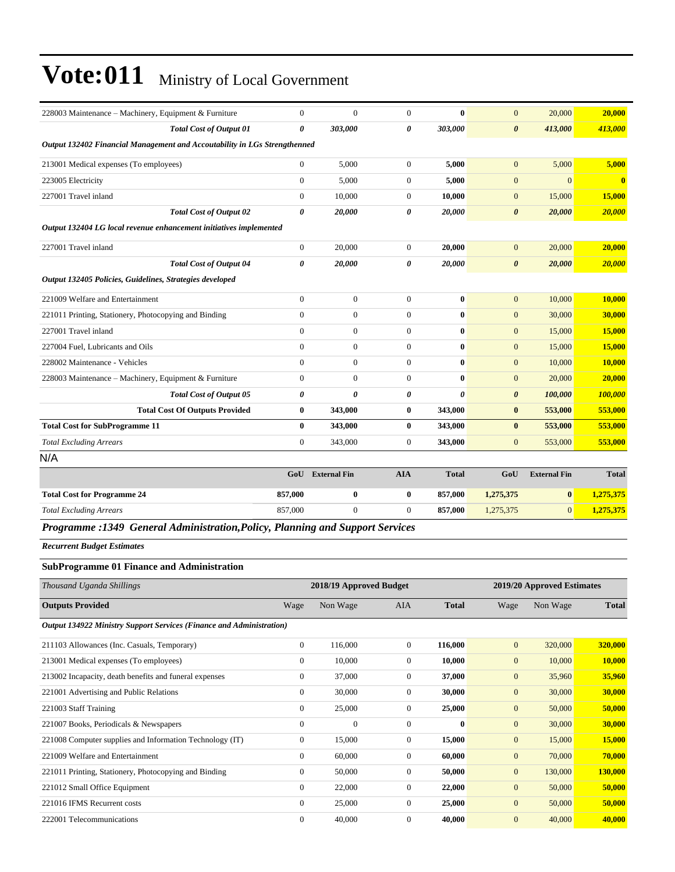| 228003 Maintenance - Machinery, Equipment & Furniture                         | $\theta$       | $\Omega$                | $\overline{0}$        | $\mathbf{0}$          | $\overline{0}$        | 20,000              | 20,000       |
|-------------------------------------------------------------------------------|----------------|-------------------------|-----------------------|-----------------------|-----------------------|---------------------|--------------|
| <b>Total Cost of Output 01</b>                                                | 0              | 303,000                 | $\boldsymbol{\theta}$ | 303,000               | $\boldsymbol{\theta}$ | 413,000             | 413,000      |
| Output 132402 Financial Management and Accoutability in LGs Strengthenned     |                |                         |                       |                       |                       |                     |              |
| 213001 Medical expenses (To employees)                                        | $\overline{0}$ | 5,000                   | $\boldsymbol{0}$      | 5,000                 | $\mathbf{0}$          | 5,000               | 5,000        |
| 223005 Electricity                                                            | $\overline{0}$ | 5.000                   | $\mathbf{0}$          | 5.000                 | $\overline{0}$        | $\Omega$            | $\bf{0}$     |
| 227001 Travel inland                                                          | $\Omega$       | 10,000                  | $\mathbf{0}$          | 10,000                | $\overline{0}$        | 15,000              | 15,000       |
| <b>Total Cost of Output 02</b>                                                | $\theta$       | 20,000                  | $\boldsymbol{\theta}$ | 20,000                | $\boldsymbol{\theta}$ | 20,000              | 20,000       |
| Output 132404 LG local revenue enhancement initiatives implemented            |                |                         |                       |                       |                       |                     |              |
| 227001 Travel inland                                                          | $\overline{0}$ | 20,000                  | $\mathbf{0}$          | 20,000                | $\mathbf{0}$          | 20,000              | 20,000       |
| <b>Total Cost of Output 04</b>                                                | 0              | 20,000                  | 0                     | 20,000                | $\boldsymbol{\theta}$ | 20,000              | 20,000       |
| Output 132405 Policies, Guidelines, Strategies developed                      |                |                         |                       |                       |                       |                     |              |
| 221009 Welfare and Entertainment                                              | $\overline{0}$ | $\Omega$                | $\overline{0}$        | $\bf{0}$              | $\overline{0}$        | 10,000              | 10,000       |
| 221011 Printing, Stationery, Photocopying and Binding                         | $\theta$       | $\Omega$                | $\overline{0}$        | $\mathbf{0}$          | $\overline{0}$        | 30,000              | 30,000       |
| 227001 Travel inland                                                          | $\overline{0}$ | $\mathbf{0}$            | $\mathbf{0}$          | $\bf{0}$              | $\overline{0}$        | 15,000              | 15,000       |
| 227004 Fuel, Lubricants and Oils                                              | $\theta$       | $\Omega$                | $\overline{0}$        | $\mathbf{0}$          | $\overline{0}$        | 15,000              | 15,000       |
| 228002 Maintenance - Vehicles                                                 | $\Omega$       | $\Omega$                | $\mathbf{0}$          | $\bf{0}$              | $\mathbf{0}$          | 10,000              | 10,000       |
| 228003 Maintenance - Machinery, Equipment & Furniture                         | $\overline{0}$ | $\mathbf{0}$            | $\boldsymbol{0}$      | $\bf{0}$              | $\overline{0}$        | 20,000              | 20,000       |
| <b>Total Cost of Output 05</b>                                                | 0              | $\theta$                | $\boldsymbol{\theta}$ | $\boldsymbol{\theta}$ | $\boldsymbol{\theta}$ | 100,000             | 100,000      |
| <b>Total Cost Of Outputs Provided</b>                                         | $\bf{0}$       | 343,000                 | $\bf{0}$              | 343,000               | $\bf{0}$              | 553,000             | 553,000      |
| <b>Total Cost for SubProgramme 11</b>                                         | $\bf{0}$       | 343,000                 | $\bf{0}$              | 343,000               | $\bf{0}$              | 553,000             | 553,000      |
| <b>Total Excluding Arrears</b>                                                | $\overline{0}$ | 343,000                 | $\boldsymbol{0}$      | 343,000               | $\overline{0}$        | 553,000             | 553,000      |
| N/A                                                                           |                |                         |                       |                       |                       |                     |              |
|                                                                               |                | <b>GoU</b> External Fin | <b>AIA</b>            | <b>Total</b>          | GoU                   | <b>External Fin</b> | <b>Total</b> |
| <b>Total Cost for Programme 24</b>                                            | 857,000        | $\bf{0}$                | $\bf{0}$              | 857,000               | 1,275,375             | $\bf{0}$            | 1,275,375    |
| <b>Total Excluding Arrears</b>                                                | 857,000        | $\Omega$                | $\Omega$              | 857,000               | 1,275,375             | $\Omega$            | 1,275,375    |
| Programme :1349 General Administration, Policy, Planning and Support Services |                |                         |                       |                       |                       |                     |              |

*Recurrent Budget Estimates*

#### **SubProgramme 01 Finance and Administration**

| Thousand Uganda Shillings                                                   |                | 2018/19 Approved Budget |              |              | 2019/20 Approved Estimates |          |              |
|-----------------------------------------------------------------------------|----------------|-------------------------|--------------|--------------|----------------------------|----------|--------------|
| <b>Outputs Provided</b>                                                     | Wage           | Non Wage                | AIA          | <b>Total</b> | Wage                       | Non Wage | <b>Total</b> |
| <b>Output 134922 Ministry Support Services (Finance and Administration)</b> |                |                         |              |              |                            |          |              |
| 211103 Allowances (Inc. Casuals, Temporary)                                 | $\overline{0}$ | 116,000                 | $\Omega$     | 116,000      | $\overline{0}$             | 320,000  | 320,000      |
| 213001 Medical expenses (To employees)                                      | $\mathbf{0}$   | 10,000                  | $\theta$     | 10,000       | $\overline{0}$             | 10,000   | 10,000       |
| 213002 Incapacity, death benefits and funeral expenses                      | $\mathbf{0}$   | 37,000                  | $\mathbf{0}$ | 37,000       | $\overline{0}$             | 35,960   | 35,960       |
| 221001 Advertising and Public Relations                                     | $\mathbf{0}$   | 30,000                  | $\Omega$     | 30,000       | $\overline{0}$             | 30,000   | 30,000       |
| 221003 Staff Training                                                       | $\mathbf{0}$   | 25,000                  | $\mathbf{0}$ | 25,000       | $\overline{0}$             | 50,000   | 50,000       |
| 221007 Books, Periodicals & Newspapers                                      | $\mathbf{0}$   | $\mathbf{0}$            | $\Omega$     | $\mathbf{0}$ | $\mathbf{0}$               | 30,000   | 30,000       |
| 221008 Computer supplies and Information Technology (IT)                    | $\mathbf{0}$   | 15,000                  | $\mathbf{0}$ | 15,000       | $\mathbf{0}$               | 15,000   | 15,000       |
| 221009 Welfare and Entertainment                                            | $\overline{0}$ | 60,000                  | $\mathbf{0}$ | 60,000       | $\overline{0}$             | 70,000   | 70,000       |
| 221011 Printing, Stationery, Photocopying and Binding                       | $\mathbf{0}$   | 50,000                  | $\Omega$     | 50,000       | $\mathbf{0}$               | 130,000  | 130,000      |
| 221012 Small Office Equipment                                               | $\mathbf{0}$   | 22,000                  | $\theta$     | 22,000       | $\mathbf{0}$               | 50,000   | 50,000       |
| 221016 IFMS Recurrent costs                                                 | $\Omega$       | 25,000                  | $\Omega$     | 25,000       | $\mathbf{0}$               | 50,000   | 50,000       |
| 222001 Telecommunications                                                   | $\mathbf{0}$   | 40,000                  | $\Omega$     | 40,000       | $\mathbf{0}$               | 40,000   | 40,000       |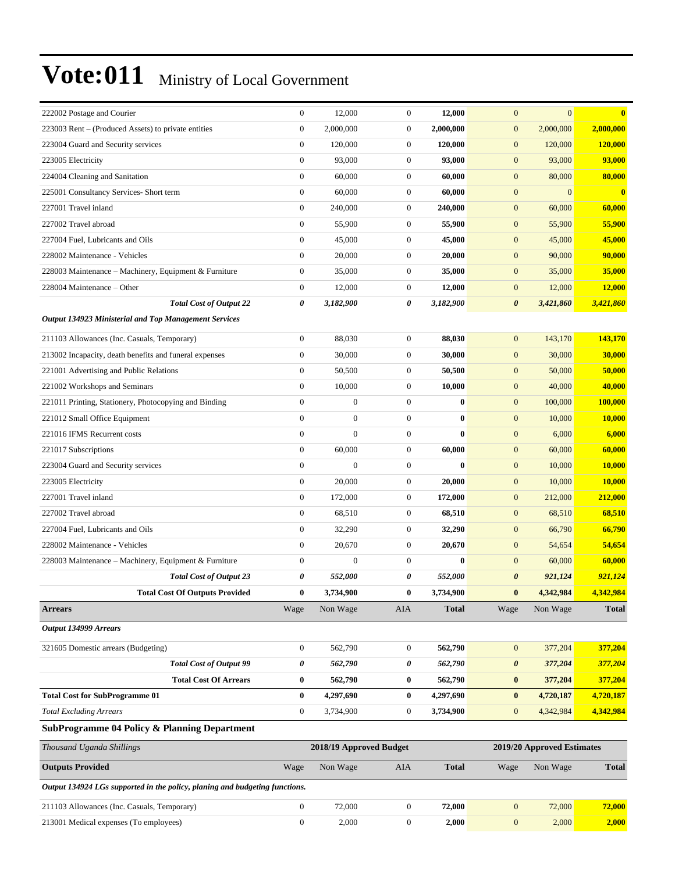| 222002 Postage and Courier                                                  | $\boldsymbol{0}$ | 12,000                  | $\boldsymbol{0}$ | 12,000       | $\mathbf{0}$          | $\mathbf{0}$               | $\overline{\mathbf{0}}$ |
|-----------------------------------------------------------------------------|------------------|-------------------------|------------------|--------------|-----------------------|----------------------------|-------------------------|
| 223003 Rent – (Produced Assets) to private entities                         | $\boldsymbol{0}$ | 2,000,000               | $\boldsymbol{0}$ | 2,000,000    | $\boldsymbol{0}$      | 2,000,000                  | 2,000,000               |
| 223004 Guard and Security services                                          | $\boldsymbol{0}$ | 120,000                 | $\boldsymbol{0}$ | 120,000      | $\boldsymbol{0}$      | 120,000                    | 120,000                 |
| 223005 Electricity                                                          | $\boldsymbol{0}$ | 93,000                  | $\boldsymbol{0}$ | 93,000       | $\boldsymbol{0}$      | 93,000                     | 93,000                  |
| 224004 Cleaning and Sanitation                                              | $\boldsymbol{0}$ | 60,000                  | $\boldsymbol{0}$ | 60,000       | $\boldsymbol{0}$      | 80,000                     | 80,000                  |
| 225001 Consultancy Services- Short term                                     | $\boldsymbol{0}$ | 60,000                  | $\mathbf{0}$     | 60,000       | $\mathbf{0}$          | $\mathbf{0}$               | $\mathbf{0}$            |
| 227001 Travel inland                                                        | $\boldsymbol{0}$ | 240,000                 | $\boldsymbol{0}$ | 240,000      | $\boldsymbol{0}$      | 60,000                     | 60,000                  |
| 227002 Travel abroad                                                        | $\boldsymbol{0}$ | 55,900                  | $\boldsymbol{0}$ | 55,900       | $\mathbf{0}$          | 55,900                     | 55,900                  |
| 227004 Fuel, Lubricants and Oils                                            | $\boldsymbol{0}$ | 45,000                  | $\boldsymbol{0}$ | 45,000       | $\boldsymbol{0}$      | 45,000                     | 45,000                  |
| 228002 Maintenance - Vehicles                                               | $\mathbf{0}$     | 20,000                  | $\boldsymbol{0}$ | 20,000       | $\boldsymbol{0}$      | 90,000                     | 90,000                  |
| 228003 Maintenance – Machinery, Equipment & Furniture                       | $\boldsymbol{0}$ | 35,000                  | $\mathbf{0}$     | 35,000       | $\boldsymbol{0}$      | 35,000                     | 35,000                  |
| 228004 Maintenance – Other                                                  | $\boldsymbol{0}$ | 12,000                  | $\mathbf{0}$     | 12,000       | $\boldsymbol{0}$      | 12,000                     | 12,000                  |
| <b>Total Cost of Output 22</b>                                              | 0                | 3,182,900               | 0                | 3,182,900    | $\boldsymbol{\theta}$ | 3,421,860                  | 3,421,860               |
| <b>Output 134923 Ministerial and Top Management Services</b>                |                  |                         |                  |              |                       |                            |                         |
| 211103 Allowances (Inc. Casuals, Temporary)                                 | $\boldsymbol{0}$ | 88,030                  | $\boldsymbol{0}$ | 88,030       | $\boldsymbol{0}$      | 143,170                    | 143,170                 |
| 213002 Incapacity, death benefits and funeral expenses                      | $\boldsymbol{0}$ | 30,000                  | $\boldsymbol{0}$ | 30,000       | $\mathbf{0}$          | 30,000                     | 30,000                  |
| 221001 Advertising and Public Relations                                     | $\boldsymbol{0}$ | 50,500                  | $\boldsymbol{0}$ | 50,500       | $\boldsymbol{0}$      | 50,000                     | 50,000                  |
| 221002 Workshops and Seminars                                               | $\boldsymbol{0}$ | 10,000                  | $\boldsymbol{0}$ | 10,000       | $\boldsymbol{0}$      | 40,000                     | 40,000                  |
| 221011 Printing, Stationery, Photocopying and Binding                       | $\boldsymbol{0}$ | $\boldsymbol{0}$        | $\boldsymbol{0}$ | $\bf{0}$     | $\mathbf{0}$          | 100,000                    | 100,000                 |
| 221012 Small Office Equipment                                               | $\mathbf{0}$     | $\boldsymbol{0}$        | $\boldsymbol{0}$ | $\bf{0}$     | $\mathbf{0}$          | 10,000                     | 10,000                  |
| 221016 IFMS Recurrent costs                                                 | $\boldsymbol{0}$ | $\mathbf{0}$            | $\boldsymbol{0}$ | $\bf{0}$     | $\mathbf{0}$          | 6,000                      | 6,000                   |
| 221017 Subscriptions                                                        | $\boldsymbol{0}$ | 60,000                  | $\mathbf{0}$     | 60,000       | $\mathbf{0}$          | 60,000                     | 60,000                  |
| 223004 Guard and Security services                                          | $\boldsymbol{0}$ | $\mathbf{0}$            | $\boldsymbol{0}$ | $\bf{0}$     | $\boldsymbol{0}$      | 10,000                     | <b>10,000</b>           |
| 223005 Electricity                                                          | $\mathbf{0}$     | 20,000                  | $\boldsymbol{0}$ | 20,000       | $\boldsymbol{0}$      | 10,000                     | 10,000                  |
| 227001 Travel inland                                                        | $\boldsymbol{0}$ | 172,000                 | $\boldsymbol{0}$ | 172,000      | $\mathbf{0}$          | 212,000                    | 212,000                 |
| 227002 Travel abroad                                                        | $\boldsymbol{0}$ | 68,510                  | $\boldsymbol{0}$ | 68,510       | $\mathbf{0}$          | 68,510                     | 68,510                  |
| 227004 Fuel, Lubricants and Oils                                            | $\boldsymbol{0}$ | 32,290                  | $\boldsymbol{0}$ | 32,290       | $\boldsymbol{0}$      | 66,790                     | 66,790                  |
| 228002 Maintenance - Vehicles                                               | $\boldsymbol{0}$ | 20,670                  | $\boldsymbol{0}$ | 20,670       | $\boldsymbol{0}$      | 54,654                     | 54,654                  |
| 228003 Maintenance - Machinery, Equipment & Furniture                       | $\boldsymbol{0}$ | $\mathbf{0}$            | $\boldsymbol{0}$ | $\bf{0}$     | $\boldsymbol{0}$      | 60,000                     | 60,000                  |
| <b>Total Cost of Output 23</b>                                              | 0                | 552,000                 | 0                | 552,000      | $\pmb{\theta}$        | 921,124                    | 921,124                 |
| <b>Total Cost Of Outputs Provided</b>                                       | $\bf{0}$         | 3,734,900               | $\bf{0}$         | 3,734,900    | $\bf{0}$              | 4,342,984                  | 4.342.984               |
| <b>Arrears</b>                                                              | Wage             | Non Wage                | AIA              | <b>Total</b> | Wage                  | Non Wage                   | <b>Total</b>            |
| Output 134999 Arrears                                                       |                  |                         |                  |              |                       |                            |                         |
| 321605 Domestic arrears (Budgeting)                                         | $\boldsymbol{0}$ | 562,790                 | $\boldsymbol{0}$ | 562,790      | $\boldsymbol{0}$      | 377,204                    | 377,204                 |
| <b>Total Cost of Output 99</b>                                              | $\pmb{\theta}$   | 562,790                 | $\pmb{\theta}$   | 562,790      | $\pmb{\theta}$        | 377,204                    | 377,204                 |
| <b>Total Cost Of Arrears</b>                                                | $\bf{0}$         | 562,790                 | $\bf{0}$         | 562,790      | $\bf{0}$              | 377,204                    | 377,204                 |
| <b>Total Cost for SubProgramme 01</b>                                       | $\bf{0}$         | 4,297,690               | $\bf{0}$         | 4,297,690    | $\bf{0}$              | 4,720,187                  | 4,720,187               |
| <b>Total Excluding Arrears</b>                                              | $\boldsymbol{0}$ | 3,734,900               | $\boldsymbol{0}$ | 3,734,900    | $\boldsymbol{0}$      | 4,342,984                  | 4,342,984               |
| SubProgramme 04 Policy & Planning Department                                |                  |                         |                  |              |                       |                            |                         |
| Thousand Uganda Shillings                                                   |                  | 2018/19 Approved Budget |                  |              |                       | 2019/20 Approved Estimates |                         |
| <b>Outputs Provided</b>                                                     | Wage             | Non Wage                | AIA              | <b>Total</b> | Wage                  | Non Wage                   | <b>Total</b>            |
| Output 134924 LGs supported in the policy, planing and budgeting functions. |                  |                         |                  |              |                       |                            |                         |
| 211103 Allowances (Inc. Casuals, Temporary)                                 | $\boldsymbol{0}$ | 72,000                  | $\boldsymbol{0}$ | 72,000       | $\mathbf{0}$          | 72,000                     | 72,000                  |
| 213001 Medical expenses (To employees)                                      | $\boldsymbol{0}$ | 2,000                   | $\boldsymbol{0}$ | 2,000        | $\boldsymbol{0}$      | 2,000                      | 2,000                   |
|                                                                             |                  |                         |                  |              |                       |                            |                         |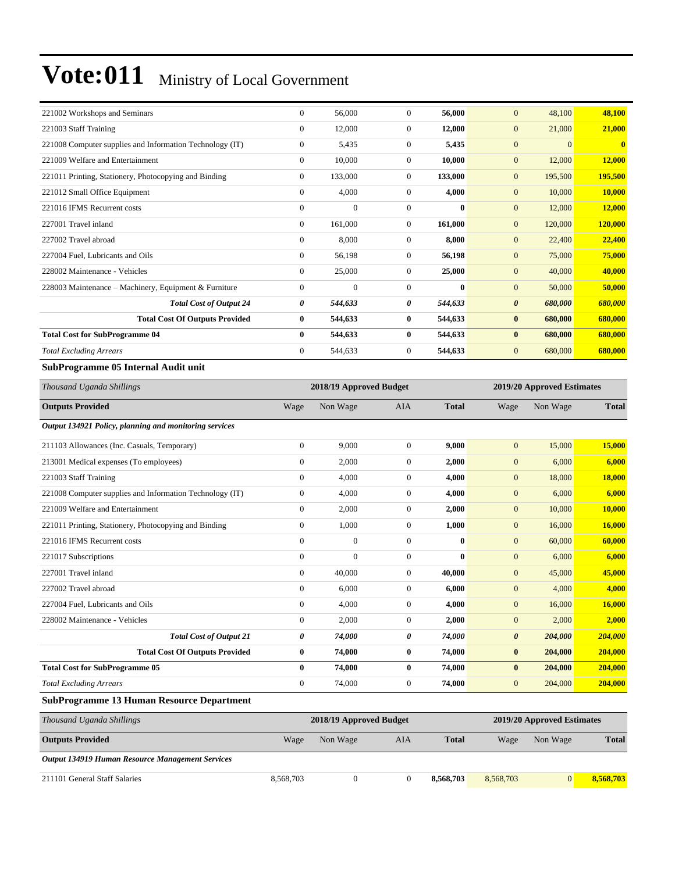| $\Omega$       | 56,000       | $\Omega$              | 56,000                  | $\overline{0}$        | 48,100   | 48,100                     |
|----------------|--------------|-----------------------|-------------------------|-----------------------|----------|----------------------------|
| $\mathbf{0}$   | 12,000       | $\theta$              | 12.000                  | $\overline{0}$        | 21,000   | 21,000                     |
| $\Omega$       | 5,435        | $\Omega$              | 5,435                   | $\overline{0}$        | $\Omega$ | $\mathbf{0}$               |
| $\Omega$       | 10,000       | $\theta$              | 10,000                  | $\mathbf{0}$          | 12,000   | 12,000                     |
| $\overline{0}$ | 133,000      | $\mathbf{0}$          | 133,000                 | $\overline{0}$        | 195,500  | 195,500                    |
| $\mathbf{0}$   | 4,000        | $\theta$              | 4.000                   | $\overline{0}$        | 10,000   | 10,000                     |
| $\Omega$       | $\Omega$     | $\theta$              | $\bf{0}$                | $\overline{0}$        | 12,000   | 12,000                     |
| $\Omega$       | 161,000      | $\theta$              | 161,000                 | $\mathbf{0}$          | 120,000  | 120,000                    |
| $\Omega$       | 8.000        | $\theta$              | 8.000                   | $\overline{0}$        | 22,400   | 22,400                     |
| $\theta$       | 56,198       | $\theta$              | 56,198                  | $\overline{0}$        | 75,000   | 75,000                     |
| $\Omega$       | 25,000       | $\theta$              | 25,000                  | $\overline{0}$        | 40,000   | 40,000                     |
| $\mathbf{0}$   | $\mathbf{0}$ | $\theta$              | $\bf{0}$                | $\overline{0}$        | 50,000   | 50,000                     |
| 0              | 544,633      | $\boldsymbol{\theta}$ | 544,633                 | $\boldsymbol{\theta}$ | 680,000  | 680,000                    |
| $\bf{0}$       | 544,633      | $\bf{0}$              | 544,633                 | $\bf{0}$              | 680,000  | 680,000                    |
| $\mathbf{0}$   | 544,633      | $\bf{0}$              | 544,633                 | $\bf{0}$              | 680,000  | 680,000                    |
| $\Omega$       | 544,633      | $\theta$              | 544,633                 | $\overline{0}$        | 680,000  | 680,000                    |
|                |              |                       |                         |                       |          |                            |
|                |              |                       |                         |                       |          |                            |
| Wage           | Non Wage     | <b>AIA</b>            | <b>Total</b>            | Wage                  | Non Wage | <b>Total</b>               |
|                |              |                       |                         |                       |          |                            |
| $\mathbf{0}$   | 9.000        | $\theta$              | 9.000                   | $\overline{0}$        | 15,000   | 15,000                     |
| $\Omega$       | 2,000        | $\theta$              | 2,000                   | $\overline{0}$        | 6,000    | 6,000                      |
|                |              |                       | 2018/19 Approved Budget |                       |          | 2019/20 Approved Estimates |

| 211103 Allowances (Inc. Casuals, Temporary)              | v              | 9,000        | v              | Y,UUU    | $\mathbf{U}$<br><b>15,000</b>    | 13,000  |
|----------------------------------------------------------|----------------|--------------|----------------|----------|----------------------------------|---------|
| 213001 Medical expenses (To employees)                   | $\overline{0}$ | 2,000        | $\mathbf{0}$   | 2,000    | $\overline{0}$<br>6,000          | 6,000   |
| 221003 Staff Training                                    | $\overline{0}$ | 4,000        | $\overline{0}$ | 4,000    | 18,000<br>$\overline{0}$         | 18,000  |
| 221008 Computer supplies and Information Technology (IT) | $\theta$       | 4,000        | $\overline{0}$ | 4,000    | $\overline{0}$<br>6,000          | 6,000   |
| 221009 Welfare and Entertainment                         | $\mathbf{0}$   | 2,000        | $\mathbf{0}$   | 2,000    | $\overline{0}$<br>10,000         | 10,000  |
| 221011 Printing, Stationery, Photocopying and Binding    | $\mathbf{0}$   | 1,000        | $\theta$       | 1,000    | $\overline{0}$<br>16,000         | 16,000  |
| 221016 IFMS Recurrent costs                              | $\Omega$       | $\mathbf{0}$ | $\mathbf{0}$   | $\bf{0}$ | $\overline{0}$<br>60,000         | 60,000  |
| 221017 Subscriptions                                     | $\mathbf{0}$   | $\mathbf{0}$ | $\theta$       | $\bf{0}$ | 6,000<br>$\overline{0}$          | 6,000   |
| 227001 Travel inland                                     | $\overline{0}$ | 40,000       | $\mathbf{0}$   | 40,000   | $\overline{0}$<br>45,000         | 45,000  |
| 227002 Travel abroad                                     | $\overline{0}$ | 6,000        | $\theta$       | 6,000    | $\overline{0}$<br>4,000          | 4,000   |
| 227004 Fuel, Lubricants and Oils                         | $\overline{0}$ | 4,000        | $\mathbf{0}$   | 4,000    | $\overline{0}$<br>16,000         | 16,000  |
| 228002 Maintenance - Vehicles                            | $\overline{0}$ | 2,000        | $\mathbf{0}$   | 2,000    | 2,000<br>$\overline{0}$          | 2,000   |
| <b>Total Cost of Output 21</b>                           | 0              | 74,000       | 0              | 74,000   | $\boldsymbol{\theta}$<br>204,000 | 204,000 |
| <b>Total Cost Of Outputs Provided</b>                    | $\bf{0}$       | 74,000       | $\bf{0}$       | 74,000   | $\bf{0}$<br>204,000              | 204,000 |
| <b>Total Cost for SubProgramme 05</b>                    | $\bf{0}$       | 74,000       | $\bf{0}$       | 74,000   | 204,000<br>$\bf{0}$              | 204,000 |
| <b>Total Excluding Arrears</b>                           | $\mathbf{0}$   | 74,000       | $\mathbf{0}$   | 74,000   | $\overline{0}$<br>204,000        | 204,000 |

#### **SubProgramme 13 Human Resource Department**

| Thousand Uganda Shillings                               |           | 2018/19 Approved Budget |     | 2019/20 Approved Estimates |           |          |              |
|---------------------------------------------------------|-----------|-------------------------|-----|----------------------------|-----------|----------|--------------|
| <b>Outputs Provided</b>                                 | Wage      | Non Wage                | AIA | <b>Total</b>               | Wage      | Non Wage | <b>Total</b> |
| <b>Output 134919 Human Resource Management Services</b> |           |                         |     |                            |           |          |              |
| 211101 General Staff Salaries                           | 8,568,703 |                         |     | 8.568.703                  | 8,568,703 |          | 8,568,703    |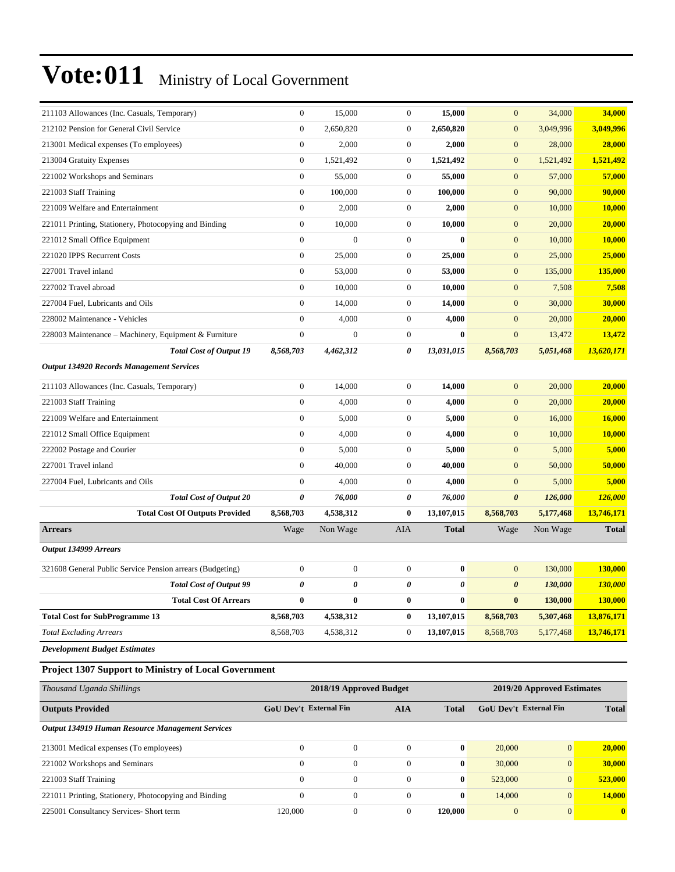| 211103 Allowances (Inc. Casuals, Temporary)               | $\overline{0}$        | 15,000           | $\overline{0}$        | 15,000         | $\mathbf{0}$          | 34,000    | 34,000       |
|-----------------------------------------------------------|-----------------------|------------------|-----------------------|----------------|-----------------------|-----------|--------------|
| 212102 Pension for General Civil Service                  | $\boldsymbol{0}$      | 2,650,820        | $\mathbf{0}$          | 2,650,820      | $\mathbf{0}$          | 3,049,996 | 3,049,996    |
| 213001 Medical expenses (To employees)                    | $\boldsymbol{0}$      | 2,000            | $\mathbf{0}$          | 2,000          | $\mathbf{0}$          | 28,000    | 28,000       |
| 213004 Gratuity Expenses                                  | $\overline{0}$        | 1,521,492        | $\mathbf{0}$          | 1,521,492      | $\mathbf{0}$          | 1,521,492 | 1,521,492    |
| 221002 Workshops and Seminars                             | $\boldsymbol{0}$      | 55,000           | $\boldsymbol{0}$      | 55,000         | $\boldsymbol{0}$      | 57,000    | 57,000       |
| 221003 Staff Training                                     | $\boldsymbol{0}$      | 100,000          | $\mathbf{0}$          | 100,000        | $\boldsymbol{0}$      | 90,000    | 90,000       |
| 221009 Welfare and Entertainment                          | $\boldsymbol{0}$      | 2,000            | $\boldsymbol{0}$      | 2,000          | $\mathbf{0}$          | 10,000    | 10,000       |
| 221011 Printing, Stationery, Photocopying and Binding     | $\overline{0}$        | 10,000           | $\boldsymbol{0}$      | 10,000         | $\mathbf{0}$          | 20,000    | 20,000       |
| 221012 Small Office Equipment                             | $\boldsymbol{0}$      | $\overline{0}$   | $\boldsymbol{0}$      | $\bf{0}$       | $\mathbf{0}$          | 10,000    | 10,000       |
| 221020 IPPS Recurrent Costs                               | $\boldsymbol{0}$      | 25,000           | $\mathbf{0}$          | 25,000         | $\mathbf{0}$          | 25,000    | 25,000       |
| 227001 Travel inland                                      | $\boldsymbol{0}$      | 53,000           | $\boldsymbol{0}$      | 53,000         | $\mathbf{0}$          | 135,000   | 135,000      |
| 227002 Travel abroad                                      | $\boldsymbol{0}$      | 10,000           | $\mathbf{0}$          | 10,000         | $\mathbf{0}$          | 7,508     | 7,508        |
| 227004 Fuel, Lubricants and Oils                          | $\mathbf{0}$          | 14,000           | $\boldsymbol{0}$      | 14,000         | $\mathbf{0}$          | 30,000    | 30,000       |
| 228002 Maintenance - Vehicles                             | $\mathbf{0}$          | 4,000            | $\mathbf{0}$          | 4,000          | $\mathbf{0}$          | 20,000    | 20,000       |
| 228003 Maintenance - Machinery, Equipment & Furniture     | $\mathbf{0}$          | $\mathbf{0}$     | $\boldsymbol{0}$      | $\bf{0}$       | $\boldsymbol{0}$      | 13,472    | 13,472       |
| <b>Total Cost of Output 19</b>                            | 8,568,703             | 4,462,312        | 0                     | 13,031,015     | 8,568,703             | 5,051,468 | 13,620,171   |
| <b>Output 134920 Records Management Services</b>          |                       |                  |                       |                |                       |           |              |
| 211103 Allowances (Inc. Casuals, Temporary)               | $\boldsymbol{0}$      | 14,000           | $\boldsymbol{0}$      | 14,000         | $\mathbf{0}$          | 20,000    | 20,000       |
| 221003 Staff Training                                     | $\boldsymbol{0}$      | 4,000            | $\boldsymbol{0}$      | 4,000          | $\mathbf{0}$          | 20,000    | 20,000       |
| 221009 Welfare and Entertainment                          | $\boldsymbol{0}$      | 5,000            | $\mathbf{0}$          | 5,000          | $\mathbf{0}$          | 16,000    | 16,000       |
| 221012 Small Office Equipment                             | $\mathbf{0}$          | 4,000            | $\mathbf{0}$          | 4,000          | $\mathbf{0}$          | 10,000    | 10,000       |
| 222002 Postage and Courier                                | $\mathbf{0}$          | 5,000            | $\boldsymbol{0}$      | 5,000          | $\boldsymbol{0}$      | 5,000     | 5,000        |
| 227001 Travel inland                                      | $\boldsymbol{0}$      | 40,000           | $\mathbf{0}$          | 40,000         | $\mathbf{0}$          | 50,000    | 50,000       |
| 227004 Fuel, Lubricants and Oils                          | $\mathbf{0}$          | 4,000            | $\mathbf{0}$          | 4,000          | $\mathbf{0}$          | 5,000     | 5,000        |
| <b>Total Cost of Output 20</b>                            | 0                     | 76,000           | $\boldsymbol{\theta}$ | 76,000         | $\boldsymbol{\theta}$ | 126,000   | 126,000      |
| <b>Total Cost Of Outputs Provided</b>                     | 8,568,703             | 4,538,312        | $\bf{0}$              | 13,107,015     | 8,568,703             | 5,177,468 | 13,746,171   |
| <b>Arrears</b>                                            | Wage                  | Non Wage         | <b>AIA</b>            | <b>Total</b>   | Wage                  | Non Wage  | <b>Total</b> |
| Output 134999 Arrears                                     |                       |                  |                       |                |                       |           |              |
| 321608 General Public Service Pension arrears (Budgeting) | $\boldsymbol{0}$      | $\boldsymbol{0}$ | $\boldsymbol{0}$      | $\bf{0}$       | $\mathbf{0}$          | 130,000   | 130,000      |
| <b>Total Cost of Output 99</b>                            | $\boldsymbol{\theta}$ | 0                | $\pmb{\theta}$        | $\pmb{\theta}$ | $\boldsymbol{\theta}$ | 130,000   | 130,000      |
| <b>Total Cost Of Arrears</b>                              | $\bf{0}$              | 0                | $\bf{0}$              | $\bf{0}$       | $\bf{0}$              | 130,000   | 130,000      |
| <b>Total Cost for SubProgramme 13</b>                     | 8,568,703             | 4,538,312        | $\bf{0}$              | 13,107,015     | 8,568,703             | 5,307,468 | 13,876,171   |
| <b>Total Excluding Arrears</b>                            | 8,568,703             | 4,538,312        | $\mathbf{0}$          | 13,107,015     | 8,568,703             | 5,177,468 | 13,746,171   |
| <b>Development Budget Estimates</b>                       |                       |                  |                       |                |                       |           |              |

#### **Project 1307 Support to Ministry of Local Government**

| Thousand Uganda Shillings                             |                                      | 2018/19 Approved Budget | 2019/20 Approved Estimates |              |                               |                |              |
|-------------------------------------------------------|--------------------------------------|-------------------------|----------------------------|--------------|-------------------------------|----------------|--------------|
| <b>Outputs Provided</b>                               | <b>GoU Dev't External Fin</b><br>AIA |                         |                            | Total        | <b>GoU Dev't External Fin</b> |                |              |
| Output 134919 Human Resource Management Services      |                                      |                         |                            |              |                               |                |              |
| 213001 Medical expenses (To employees)                | $\Omega$                             | $\Omega$                | $\Omega$                   | $\mathbf{0}$ | 20,000                        | $\overline{0}$ | 20,000       |
| 221002 Workshops and Seminars                         | $\Omega$                             | $\Omega$                | $\Omega$                   | $\bf{0}$     | 30,000                        | $\overline{0}$ | 30,000       |
| 221003 Staff Training                                 | $\Omega$                             | $\mathbf{0}$            | $\theta$                   | $\bf{0}$     | 523,000                       | $\overline{0}$ | 523,000      |
| 221011 Printing, Stationery, Photocopying and Binding | $\mathbf{0}$                         | $\mathbf{0}$            | $\theta$                   | $\bf{0}$     | 14,000                        | $\overline{0}$ | 14,000       |
| 225001 Consultancy Services- Short term               | 120,000                              | $\mathbf{0}$            | $\Omega$                   | 120.000      | $\overline{0}$                | $\Omega$       | $\mathbf{0}$ |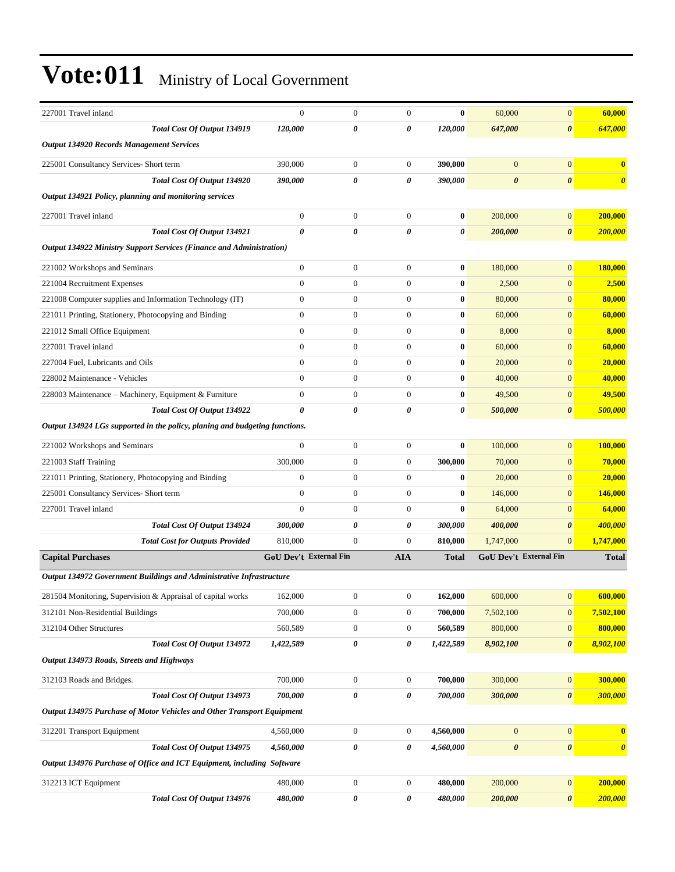| 227001 Travel inland                                                        | $\overline{0}$         | $\boldsymbol{0}$ | $\mathbf{0}$     | $\bf{0}$              | 60,000                | $\overline{0}$         | 60,000                |
|-----------------------------------------------------------------------------|------------------------|------------------|------------------|-----------------------|-----------------------|------------------------|-----------------------|
| Total Cost Of Output 134919                                                 | 120,000                | 0                | 0                | 120,000               | 647,000               | $\boldsymbol{\theta}$  | 647,000               |
| <b>Output 134920 Records Management Services</b>                            |                        |                  |                  |                       |                       |                        |                       |
| 225001 Consultancy Services- Short term                                     | 390,000                | $\boldsymbol{0}$ | $\mathbf{0}$     | 390,000               | $\mathbf{0}$          | $\boldsymbol{0}$       | $\bf{0}$              |
| Total Cost Of Output 134920                                                 | 390,000                | 0                | 0                | 390,000               | $\boldsymbol{\theta}$ | $\boldsymbol{\theta}$  | $\boldsymbol{\theta}$ |
| Output 134921 Policy, planning and monitoring services                      |                        |                  |                  |                       |                       |                        |                       |
| 227001 Travel inland                                                        | $\boldsymbol{0}$       | $\boldsymbol{0}$ | $\boldsymbol{0}$ | $\bf{0}$              | 200,000               | $\overline{0}$         | 200,000               |
| <b>Total Cost Of Output 134921</b>                                          | 0                      | $\theta$         | 0                | 0                     | 200,000               | $\boldsymbol{\theta}$  | 200,000               |
| <b>Output 134922 Ministry Support Services (Finance and Administration)</b> |                        |                  |                  |                       |                       |                        |                       |
| 221002 Workshops and Seminars                                               | $\boldsymbol{0}$       | $\boldsymbol{0}$ | $\boldsymbol{0}$ | $\bf{0}$              | 180,000               | $\overline{0}$         | 180,000               |
| 221004 Recruitment Expenses                                                 | $\overline{0}$         | $\boldsymbol{0}$ | $\boldsymbol{0}$ | $\bf{0}$              | 2,500                 | $\overline{0}$         | 2,500                 |
| 221008 Computer supplies and Information Technology (IT)                    | $\boldsymbol{0}$       | $\boldsymbol{0}$ | $\boldsymbol{0}$ | $\bf{0}$              | 80,000                | $\mathbf{0}$           | 80,000                |
| 221011 Printing, Stationery, Photocopying and Binding                       | $\overline{0}$         | $\boldsymbol{0}$ | $\boldsymbol{0}$ | $\bf{0}$              | 60,000                | $\overline{0}$         | 60,000                |
| 221012 Small Office Equipment                                               | $\overline{0}$         | $\boldsymbol{0}$ | $\boldsymbol{0}$ | $\bf{0}$              | 8,000                 | $\boldsymbol{0}$       | 8,000                 |
| 227001 Travel inland                                                        | $\overline{0}$         | $\boldsymbol{0}$ | $\boldsymbol{0}$ | $\bf{0}$              | 60,000                | $\overline{0}$         | 60,000                |
| 227004 Fuel, Lubricants and Oils                                            | $\overline{0}$         | $\boldsymbol{0}$ | $\boldsymbol{0}$ | $\bf{0}$              | 20,000                | $\overline{0}$         | 20,000                |
| 228002 Maintenance - Vehicles                                               | $\overline{0}$         | $\boldsymbol{0}$ | $\boldsymbol{0}$ | $\bf{0}$              | 40,000                | $\mathbf{0}$           | 40,000                |
| 228003 Maintenance - Machinery, Equipment & Furniture                       | $\boldsymbol{0}$       | $\boldsymbol{0}$ | $\overline{0}$   | $\bf{0}$              | 49,500                | $\overline{0}$         | 49,500                |
| <b>Total Cost Of Output 134922</b>                                          | 0                      | 0                | 0                | $\boldsymbol{\theta}$ | 500,000               | $\boldsymbol{\theta}$  | 500,000               |
| Output 134924 LGs supported in the policy, planing and budgeting functions. |                        |                  |                  |                       |                       |                        |                       |
| 221002 Workshops and Seminars                                               | $\boldsymbol{0}$       | $\boldsymbol{0}$ | $\boldsymbol{0}$ | $\bf{0}$              | 100,000               | $\overline{0}$         | 100,000               |
| 221003 Staff Training                                                       | 300,000                | $\boldsymbol{0}$ | $\boldsymbol{0}$ | 300,000               | 70,000                | $\boldsymbol{0}$       | 70,000                |
| 221011 Printing, Stationery, Photocopying and Binding                       | $\overline{0}$         | $\boldsymbol{0}$ | $\boldsymbol{0}$ | $\bf{0}$              | 20,000                | $\mathbf{0}$           | 20,000                |
| 225001 Consultancy Services- Short term                                     | $\overline{0}$         | $\boldsymbol{0}$ | $\mathbf{0}$     | $\bf{0}$              | 146,000               | $\overline{0}$         | 146,000               |
| 227001 Travel inland                                                        | $\overline{0}$         | $\boldsymbol{0}$ | $\boldsymbol{0}$ | $\bf{0}$              | 64,000                | $\boldsymbol{0}$       | 64,000                |
| Total Cost Of Output 134924                                                 | 300,000                | 0                | 0                | 300,000               | 400,000               | $\boldsymbol{\theta}$  | 400,000               |
| <b>Total Cost for Outputs Provided</b>                                      | 810,000                | $\boldsymbol{0}$ | $\mathbf{0}$     | 810,000               | 1,747,000             | $\mathbf{0}$           | 1,747,000             |
| <b>Capital Purchases</b>                                                    | GoU Dev't External Fin |                  | <b>AIA</b>       | <b>Total</b>          |                       | GoU Dev't External Fin | <b>Total</b>          |
| Output 134972 Government Buildings and Administrative Infrastructure        |                        |                  |                  |                       |                       |                        |                       |
| 281504 Monitoring, Supervision & Appraisal of capital works                 | 162,000                | $\boldsymbol{0}$ | $\boldsymbol{0}$ | 162,000               | 600,000               | 0                      | 600,000               |
| 312101 Non-Residential Buildings                                            | 700,000                | $\boldsymbol{0}$ | $\boldsymbol{0}$ | 700,000               | 7,502,100             | $\mathbf{0}$           | 7,502,100             |
| 312104 Other Structures                                                     | 560,589                | $\boldsymbol{0}$ | $\boldsymbol{0}$ | 560,589               | 800,000               | $\mathbf{0}$           | 800,000               |
| Total Cost Of Output 134972                                                 | 1,422,589              | 0                | 0                | 1,422,589             | 8,902,100             | $\boldsymbol{\theta}$  | 8,902,100             |
| Output 134973 Roads, Streets and Highways                                   |                        |                  |                  |                       |                       |                        |                       |
| 312103 Roads and Bridges.                                                   | 700,000                | $\boldsymbol{0}$ | $\boldsymbol{0}$ | 700,000               | 300,000               | $\boldsymbol{0}$       | 300,000               |
| Total Cost Of Output 134973                                                 | 700,000                | 0                | 0                | 700,000               | 300,000               | $\boldsymbol{\theta}$  | 300,000               |
| Output 134975 Purchase of Motor Vehicles and Other Transport Equipment      |                        |                  |                  |                       |                       |                        |                       |
| 312201 Transport Equipment                                                  | 4,560,000              | $\boldsymbol{0}$ | $\boldsymbol{0}$ | 4,560,000             | $\mathbf{0}$          | $\boldsymbol{0}$       | $\bf{0}$              |
| Total Cost Of Output 134975                                                 | 4,560,000              | 0                | 0                | 4,560,000             | $\pmb{\theta}$        | $\pmb{\theta}$         | $\boldsymbol{\theta}$ |
| Output 134976 Purchase of Office and ICT Equipment, including Software      |                        |                  |                  |                       |                       |                        |                       |
| 312213 ICT Equipment                                                        | 480,000                | $\boldsymbol{0}$ | $\boldsymbol{0}$ | 480,000               | 200,000               | $\boldsymbol{0}$       | 200,000               |
| Total Cost Of Output 134976                                                 | 480,000                | 0                | 0                | 480,000               | 200,000               | $\boldsymbol{\theta}$  | 200,000               |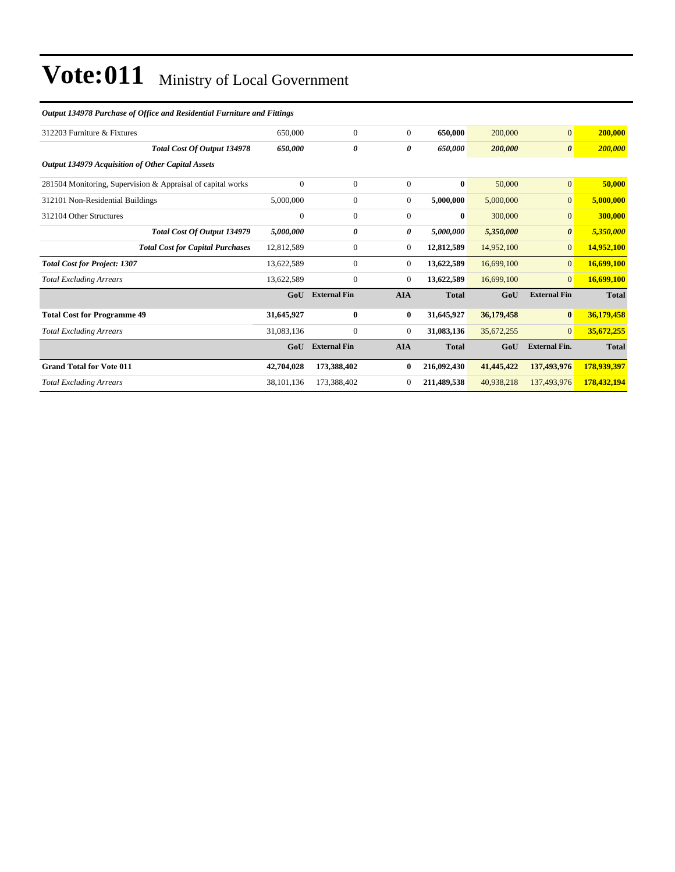#### *Output 134978 Purchase of Office and Residential Furniture and Fittings*

| 312203 Furniture & Fixtures                                 | 650,000    | $\mathbf{0}$        | $\Omega$       | 650,000      | 200,000    | $\mathbf{0}$          | 200,000      |
|-------------------------------------------------------------|------------|---------------------|----------------|--------------|------------|-----------------------|--------------|
| Total Cost Of Output 134978                                 | 650,000    | 0                   | 0              | 650,000      | 200,000    | $\boldsymbol{\theta}$ | 200,000      |
| Output 134979 Acquisition of Other Capital Assets           |            |                     |                |              |            |                       |              |
| 281504 Monitoring, Supervision & Appraisal of capital works | $\theta$   | $\mathbf{0}$        | $\overline{0}$ | $\bf{0}$     | 50,000     | $\overline{0}$        | 50,000       |
| 312101 Non-Residential Buildings                            | 5,000,000  | $\boldsymbol{0}$    | 0              | 5,000,000    | 5,000,000  | $\mathbf{0}$          | 5,000,000    |
| 312104 Other Structures                                     | $\theta$   | $\mathbf{0}$        | $\Omega$       | $\mathbf{0}$ | 300,000    | $\overline{0}$        | 300,000      |
| Total Cost Of Output 134979                                 | 5,000,000  | 0                   | 0              | 5,000,000    | 5,350,000  | $\boldsymbol{\theta}$ | 5,350,000    |
| <b>Total Cost for Capital Purchases</b>                     | 12,812,589 | $\mathbf{0}$        | $\overline{0}$ | 12,812,589   | 14,952,100 | $\overline{0}$        | 14,952,100   |
| <b>Total Cost for Project: 1307</b>                         | 13,622,589 | $\boldsymbol{0}$    | $\overline{0}$ | 13,622,589   | 16,699,100 | $\overline{0}$        | 16,699,100   |
| <b>Total Excluding Arrears</b>                              | 13,622,589 | $\mathbf{0}$        | $\overline{0}$ | 13,622,589   | 16,699,100 | $\overline{0}$        | 16,699,100   |
|                                                             | GoU        | <b>External Fin</b> | <b>AIA</b>     | <b>Total</b> | GoU        | <b>External Fin</b>   | <b>Total</b> |
| <b>Total Cost for Programme 49</b>                          | 31,645,927 | $\bf{0}$            | $\bf{0}$       | 31,645,927   | 36,179,458 | $\bf{0}$              | 36,179,458   |
| <b>Total Excluding Arrears</b>                              | 31,083,136 | $\mathbf{0}$        | 0              | 31,083,136   | 35,672,255 | $\overline{0}$        | 35,672,255   |
|                                                             | GoU        | <b>External Fin</b> | <b>AIA</b>     | <b>Total</b> | GoU        | <b>External Fin.</b>  | <b>Total</b> |
| <b>Grand Total for Vote 011</b>                             | 42,704,028 | 173,388,402         | 0              | 216,092,430  | 41,445,422 | 137,493,976           | 178,939,397  |
| <b>Total Excluding Arrears</b>                              | 38,101,136 | 173,388,402         | $\Omega$       | 211,489,538  | 40,938,218 | 137,493,976           | 178,432,194  |
|                                                             |            |                     |                |              |            |                       |              |